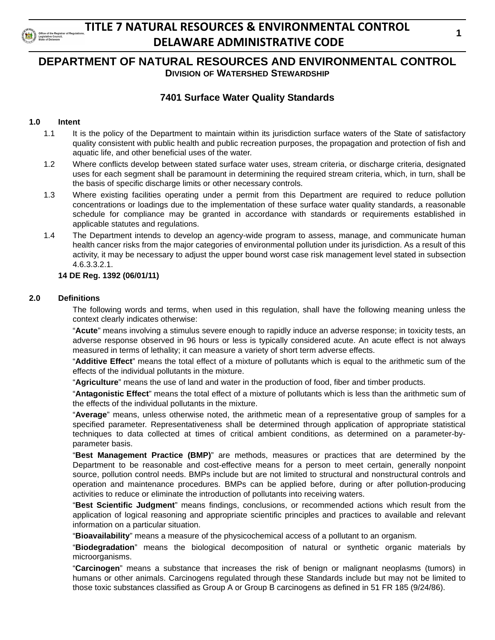

### **DEPARTMENT OF NATURAL RESOURCES AND ENVIRONMENTAL CONTROL DIVISION OF WATERSHED STEWARDSHIP**

### **7401 Surface Water Quality Standards**

### **1.0 Intent**

- 1.1 It is the policy of the Department to maintain within its jurisdiction surface waters of the State of satisfactory quality consistent with public health and public recreation purposes, the propagation and protection of fish and aquatic life, and other beneficial uses of the water.
- 1.2 Where conflicts develop between stated surface water uses, stream criteria, or discharge criteria, designated uses for each segment shall be paramount in determining the required stream criteria, which, in turn, shall be the basis of specific discharge limits or other necessary controls.
- 1.3 Where existing facilities operating under a permit from this Department are required to reduce pollution concentrations or loadings due to the implementation of these surface water quality standards, a reasonable schedule for compliance may be granted in accordance with standards or requirements established in applicable statutes and regulations.
- 1.4 The Department intends to develop an agency-wide program to assess, manage, and communicate human health cancer risks from the major categories of environmental pollution under its jurisdiction. As a result of this activity, it may be necessary to adjust the upper bound worst case risk management level stated in subsection 4.6.3.3.2.1.

#### **14 DE Reg. 1392 (06/01/11)**

#### **2.0 Definitions**

The following words and terms, when used in this regulation, shall have the following meaning unless the context clearly indicates otherwise:

"**Acute**" means involving a stimulus severe enough to rapidly induce an adverse response; in toxicity tests, an adverse response observed in 96 hours or less is typically considered acute. An acute effect is not always measured in terms of lethality; it can measure a variety of short term adverse effects.

"**Additive Effect**" means the total effect of a mixture of pollutants which is equal to the arithmetic sum of the effects of the individual pollutants in the mixture.

"**Agriculture**" means the use of land and water in the production of food, fiber and timber products.

"**Antagonistic Effect**" means the total effect of a mixture of pollutants which is less than the arithmetic sum of the effects of the individual pollutants in the mixture.

"**Average**" means, unless otherwise noted, the arithmetic mean of a representative group of samples for a specified parameter. Representativeness shall be determined through application of appropriate statistical techniques to data collected at times of critical ambient conditions, as determined on a parameter-byparameter basis.

"**Best Management Practice (BMP)**" are methods, measures or practices that are determined by the Department to be reasonable and cost-effective means for a person to meet certain, generally nonpoint source, pollution control needs. BMPs include but are not limited to structural and nonstructural controls and operation and maintenance procedures. BMPs can be applied before, during or after pollution-producing activities to reduce or eliminate the introduction of pollutants into receiving waters.

"**Best Scientific Judgment**" means findings, conclusions, or recommended actions which result from the application of logical reasoning and appropriate scientific principles and practices to available and relevant information on a particular situation.

"**Bioavailability**" means a measure of the physicochemical access of a pollutant to an organism.

"**Biodegradation**" means the biological decomposition of natural or synthetic organic materials by microorganisms.

"**Carcinogen**" means a substance that increases the risk of benign or malignant neoplasms (tumors) in humans or other animals. Carcinogens regulated through these Standards include but may not be limited to those toxic substances classified as Group A or Group B carcinogens as defined in 51 FR 185 (9/24/86).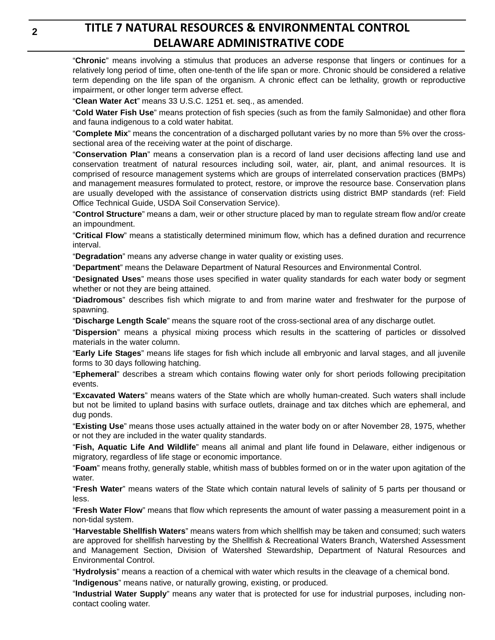"**Chronic**" means involving a stimulus that produces an adverse response that lingers or continues for a relatively long period of time, often one-tenth of the life span or more. Chronic should be considered a relative term depending on the life span of the organism. A chronic effect can be lethality, growth or reproductive impairment, or other longer term adverse effect.

"**Clean Water Act**" means 33 U.S.C. 1251 et. seq., as amended.

"**Cold Water Fish Use**" means protection of fish species (such as from the family Salmonidae) and other flora and fauna indigenous to a cold water habitat.

"**Complete Mix**" means the concentration of a discharged pollutant varies by no more than 5% over the crosssectional area of the receiving water at the point of discharge.

"**Conservation Plan**" means a conservation plan is a record of land user decisions affecting land use and conservation treatment of natural resources including soil, water, air, plant, and animal resources. It is comprised of resource management systems which are groups of interrelated conservation practices (BMPs) and management measures formulated to protect, restore, or improve the resource base. Conservation plans are usually developed with the assistance of conservation districts using district BMP standards (ref: Field Office Technical Guide, USDA Soil Conservation Service).

"**Control Structure**" means a dam, weir or other structure placed by man to regulate stream flow and/or create an impoundment.

"**Critical Flow**" means a statistically determined minimum flow, which has a defined duration and recurrence interval.

"**Degradation**" means any adverse change in water quality or existing uses.

"**Department**" means the Delaware Department of Natural Resources and Environmental Control.

"**Designated Uses**" means those uses specified in water quality standards for each water body or segment whether or not they are being attained.

"**Diadromous**" describes fish which migrate to and from marine water and freshwater for the purpose of spawning.

"**Discharge Length Scale**" means the square root of the cross-sectional area of any discharge outlet.

"**Dispersion**" means a physical mixing process which results in the scattering of particles or dissolved materials in the water column.

"**Early Life Stages**" means life stages for fish which include all embryonic and larval stages, and all juvenile forms to 30 days following hatching.

"**Ephemeral**" describes a stream which contains flowing water only for short periods following precipitation events.

"**Excavated Waters**" means waters of the State which are wholly human-created. Such waters shall include but not be limited to upland basins with surface outlets, drainage and tax ditches which are ephemeral, and dug ponds.

"**Existing Use**" means those uses actually attained in the water body on or after November 28, 1975, whether or not they are included in the water quality standards.

"**Fish, Aquatic Life And Wildlife**" means all animal and plant life found in Delaware, either indigenous or migratory, regardless of life stage or economic importance.

"**Foam**" means frothy, generally stable, whitish mass of bubbles formed on or in the water upon agitation of the water.

"**Fresh Water**" means waters of the State which contain natural levels of salinity of 5 parts per thousand or less.

"**Fresh Water Flow**" means that flow which represents the amount of water passing a measurement point in a non-tidal system.

"**Harvestable Shellfish Waters**" means waters from which shellfish may be taken and consumed; such waters are approved for shellfish harvesting by the Shellfish & Recreational Waters Branch, Watershed Assessment and Management Section, Division of Watershed Stewardship, Department of Natural Resources and Environmental Control.

"**Hydrolysis**" means a reaction of a chemical with water which results in the cleavage of a chemical bond.

"**Indigenous**" means native, or naturally growing, existing, or produced.

"**Industrial Water Supply**" means any water that is protected for use for industrial purposes, including noncontact cooling water.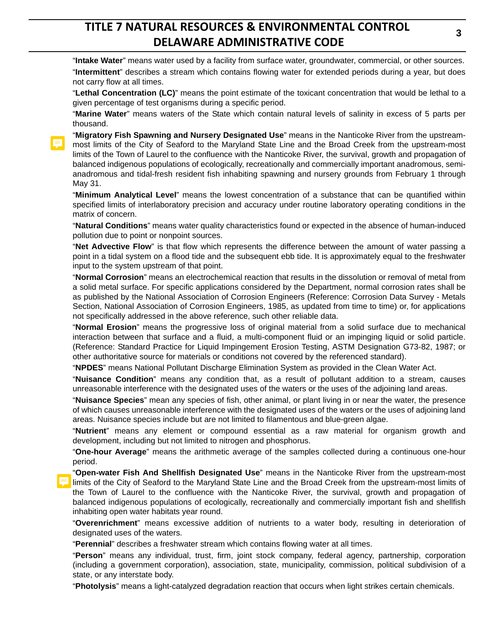"**Intake Water**" means water used by a facility from surface water, groundwater, commercial, or other sources. "**Intermittent**" describes a stream which contains flowing water for extended periods during a year, but does not carry flow at all times.

"**Lethal Concentration (LC)**" means the point estimate of the toxicant concentration that would be lethal to a given percentage of test organisms during a specific period.

"**Marine Water**" means waters of the State which contain natural levels of salinity in excess of 5 parts per thousand.

"**Migratory Fish Spawning and Nursery Designated Use**" means in the Nanticoke River from the upstreammost limits of the City of Seaford to the Maryland State Line and the Broad Creek from the upstream-most limits of the Town of Laurel to the confluence with the Nanticoke River, the survival, growth and propagation of balanced indigenous populations of ecologically, recreationally and commercially important anadromous, semianadromous and tidal-fresh resident fish inhabiting spawning and nursery grounds from February 1 through May 31.

"**Minimum Analytical Level**" means the lowest concentration of a substance that can be quantified within specified limits of interlaboratory precision and accuracy under routine laboratory operating conditions in the matrix of concern.

"**Natural Conditions**" means water quality characteristics found or expected in the absence of human-induced pollution due to point or nonpoint sources.

"**Net Advective Flow**" is that flow which represents the difference between the amount of water passing a point in a tidal system on a flood tide and the subsequent ebb tide. It is approximately equal to the freshwater input to the system upstream of that point.

"**Normal Corrosion**" means an electrochemical reaction that results in the dissolution or removal of metal from a solid metal surface. For specific applications considered by the Department, normal corrosion rates shall be as published by the National Association of Corrosion Engineers (Reference: Corrosion Data Survey - Metals Section, National Association of Corrosion Engineers, 1985, as updated from time to time) or, for applications not specifically addressed in the above reference, such other reliable data.

"**Normal Erosion**" means the progressive loss of original material from a solid surface due to mechanical interaction between that surface and a fluid, a multi-component fluid or an impinging liquid or solid particle. (Reference: Standard Practice for Liquid Impingement Erosion Testing, ASTM Designation G73-82, 1987; or other authoritative source for materials or conditions not covered by the referenced standard).

"**NPDES**" means National Pollutant Discharge Elimination System as provided in the Clean Water Act.

"**Nuisance Condition**" means any condition that, as a result of pollutant addition to a stream, causes unreasonable interference with the designated uses of the waters or the uses of the adjoining land areas.

"**Nuisance Species**" mean any species of fish, other animal, or plant living in or near the water, the presence of which causes unreasonable interference with the designated uses of the waters or the uses of adjoining land areas. Nuisance species include but are not limited to filamentous and blue-green algae.

"**Nutrient**" means any element or compound essential as a raw material for organism growth and development, including but not limited to nitrogen and phosphorus.

"**One-hour Average**" means the arithmetic average of the samples collected during a continuous one-hour period.

"**Open-water Fish And Shellfish Designated Use**" means in the Nanticoke River from the upstream-most limits of the City of Seaford to the Maryland State Line and the Broad Creek from the upstream-most limits of the Town of Laurel to the confluence with the Nanticoke River, the survival, growth and propagation of balanced indigenous populations of ecologically, recreationally and commercially important fish and shellfish inhabiting open water habitats year round.

"**Overenrichment**" means excessive addition of nutrients to a water body, resulting in deterioration of designated uses of the waters.

"**Perennial**" describes a freshwater stream which contains flowing water at all times.

"**Person**" means any individual, trust, firm, joint stock company, federal agency, partnership, corporation (including a government corporation), association, state, municipality, commission, political subdivision of a state, or any interstate body.

"**Photolysis**" means a light-catalyzed degradation reaction that occurs when light strikes certain chemicals.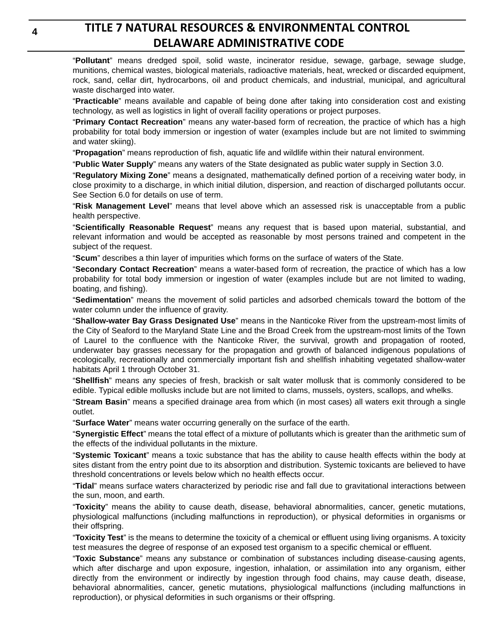"**Pollutant**" means dredged spoil, solid waste, incinerator residue, sewage, garbage, sewage sludge, munitions, chemical wastes, biological materials, radioactive materials, heat, wrecked or discarded equipment, rock, sand, cellar dirt, hydrocarbons, oil and product chemicals, and industrial, municipal, and agricultural waste discharged into water.

"**Practicable**" means available and capable of being done after taking into consideration cost and existing technology, as well as logistics in light of overall facility operations or project purposes.

"**Primary Contact Recreation**" means any water-based form of recreation, the practice of which has a high probability for total body immersion or ingestion of water (examples include but are not limited to swimming and water skiing).

"**Propagation**" means reproduction of fish, aquatic life and wildlife within their natural environment.

"**Public Water Supply**" means any waters of the State designated as public water supply in Section 3.0.

"**Regulatory Mixing Zone**" means a designated, mathematically defined portion of a receiving water body, in close proximity to a discharge, in which initial dilution, dispersion, and reaction of discharged pollutants occur. See Section 6.0 for details on use of term.

"**Risk Management Level**" means that level above which an assessed risk is unacceptable from a public health perspective.

"**Scientifically Reasonable Request**" means any request that is based upon material, substantial, and relevant information and would be accepted as reasonable by most persons trained and competent in the subject of the request.

"**Scum**" describes a thin layer of impurities which forms on the surface of waters of the State.

"**Secondary Contact Recreation**" means a water-based form of recreation, the practice of which has a low probability for total body immersion or ingestion of water (examples include but are not limited to wading, boating, and fishing).

"**Sedimentation**" means the movement of solid particles and adsorbed chemicals toward the bottom of the water column under the influence of gravity.

"**Shallow-water Bay Grass Designated Use**" means in the Nanticoke River from the upstream-most limits of the City of Seaford to the Maryland State Line and the Broad Creek from the upstream-most limits of the Town of Laurel to the confluence with the Nanticoke River, the survival, growth and propagation of rooted, underwater bay grasses necessary for the propagation and growth of balanced indigenous populations of ecologically, recreationally and commercially important fish and shellfish inhabiting vegetated shallow-water habitats April 1 through October 31.

"**Shellfish**" means any species of fresh, brackish or salt water mollusk that is commonly considered to be edible. Typical edible mollusks include but are not limited to clams, mussels, oysters, scallops, and whelks.

"**Stream Basin**" means a specified drainage area from which (in most cases) all waters exit through a single outlet.

"**Surface Water**" means water occurring generally on the surface of the earth.

"**Synergistic Effect**" means the total effect of a mixture of pollutants which is greater than the arithmetic sum of the effects of the individual pollutants in the mixture.

"**Systemic Toxicant**" means a toxic substance that has the ability to cause health effects within the body at sites distant from the entry point due to its absorption and distribution. Systemic toxicants are believed to have threshold concentrations or levels below which no health effects occur.

"**Tidal**" means surface waters characterized by periodic rise and fall due to gravitational interactions between the sun, moon, and earth.

"**Toxicity**" means the ability to cause death, disease, behavioral abnormalities, cancer, genetic mutations, physiological malfunctions (including malfunctions in reproduction), or physical deformities in organisms or their offspring.

"**Toxicity Test**" is the means to determine the toxicity of a chemical or effluent using living organisms. A toxicity test measures the degree of response of an exposed test organism to a specific chemical or effluent.

"**Toxic Substance**" means any substance or combination of substances including disease-causing agents, which after discharge and upon exposure, ingestion, inhalation, or assimilation into any organism, either directly from the environment or indirectly by ingestion through food chains, may cause death, disease, behavioral abnormalities, cancer, genetic mutations, physiological malfunctions (including malfunctions in reproduction), or physical deformities in such organisms or their offspring.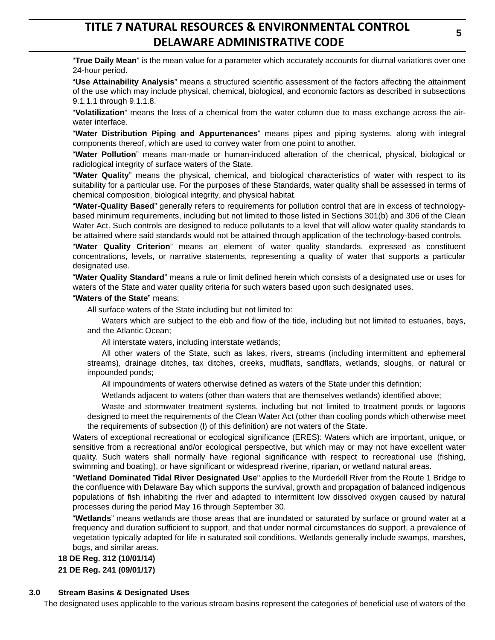"**True Daily Mean**" is the mean value for a parameter which accurately accounts for diurnal variations over one 24-hour period.

"**Use Attainability Analysis**" means a structured scientific assessment of the factors affecting the attainment of the use which may include physical, chemical, biological, and economic factors as described in subsections 9.1.1.1 through 9.1.1.8.

"**Volatilization**" means the loss of a chemical from the water column due to mass exchange across the airwater interface.

"**Water Distribution Piping and Appurtenances**" means pipes and piping systems, along with integral components thereof, which are used to convey water from one point to another.

"**Water Pollution**" means man-made or human-induced alteration of the chemical, physical, biological or radiological integrity of surface waters of the State.

"**Water Quality**" means the physical, chemical, and biological characteristics of water with respect to its suitability for a particular use. For the purposes of these Standards, water quality shall be assessed in terms of chemical composition, biological integrity, and physical habitat.

"**Water-Quality Based**" generally refers to requirements for pollution control that are in excess of technologybased minimum requirements, including but not limited to those listed in Sections 301(b) and 306 of the Clean Water Act. Such controls are designed to reduce pollutants to a level that will allow water quality standards to be attained where said standards would not be attained through application of the technology-based controls.

"**Water Quality Criterion**" means an element of water quality standards, expressed as constituent concentrations, levels, or narrative statements, representing a quality of water that supports a particular designated use.

"**Water Quality Standard**" means a rule or limit defined herein which consists of a designated use or uses for waters of the State and water quality criteria for such waters based upon such designated uses.

"**Waters of the State**" means:

All surface waters of the State including but not limited to:

Waters which are subject to the ebb and flow of the tide, including but not limited to estuaries, bays, and the Atlantic Ocean;

All interstate waters, including interstate wetlands;

All other waters of the State, such as lakes, rivers, streams (including intermittent and ephemeral streams), drainage ditches, tax ditches, creeks, mudflats, sandflats, wetlands, sloughs, or natural or impounded ponds;

All impoundments of waters otherwise defined as waters of the State under this definition;

Wetlands adjacent to waters (other than waters that are themselves wetlands) identified above;

Waste and stormwater treatment systems, including but not limited to treatment ponds or lagoons designed to meet the requirements of the Clean Water Act (other than cooling ponds which otherwise meet the requirements of subsection (l) of this definition) are not waters of the State.

Waters of exceptional recreational or ecological significance (ERES): Waters which are important, unique, or sensitive from a recreational and/or ecological perspective, but which may or may not have excellent water quality. Such waters shall normally have regional significance with respect to recreational use (fishing, swimming and boating), or have significant or widespread riverine, riparian, or wetland natural areas.

"**Wetland Dominated Tidal River Designated Use**" applies to the Murderkill River from the Route 1 Bridge to the confluence with Delaware Bay which supports the survival, growth and propagation of balanced indigenous populations of fish inhabiting the river and adapted to intermittent low dissolved oxygen caused by natural processes during the period May 16 through September 30.

"**Wetlands**" means wetlands are those areas that are inundated or saturated by surface or ground water at a frequency and duration sufficient to support, and that under normal circumstances do support, a prevalence of vegetation typically adapted for life in saturated soil conditions. Wetlands generally include swamps, marshes, bogs, and similar areas.

**18 DE Reg. 312 (10/01/14)**

**21 DE Reg. 241 (09/01/17)**

#### **3.0 Stream Basins & Designated Uses**

The designated uses applicable to the various stream basins represent the categories of beneficial use of waters of the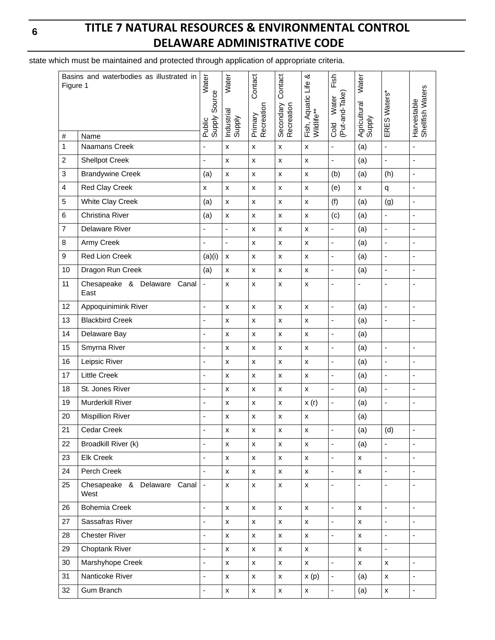# **TITLE 7 NATURAL RESOURCES & ENVIRONMENTAL CONTROL DELAWARE ADMINISTRATIVE CODE**

state which must be maintained and protected through application of appropriate criteria.

| Basins and waterbodies as illustrated in<br>Figure 1 |                                        | Water                    | Water                    | Contact               | Contact                   | య                                | Fish                            | Water                    |                          |                                 |
|------------------------------------------------------|----------------------------------------|--------------------------|--------------------------|-----------------------|---------------------------|----------------------------------|---------------------------------|--------------------------|--------------------------|---------------------------------|
| $\#$                                                 |                                        | Public<br>Supply Source  | Industrial<br>Supply     | Primary<br>Recreation | Secondary (<br>Recreation | Fish, Aquatic Life<br>Wildlife** | (Put-and-Take)<br>Water<br>Cold | Agricultural<br>Supply   | ERES Waters*             | Harvestable<br>Shellfish Waters |
| $\mathbf{1}$                                         | Name<br>Naamans Creek                  | $\overline{a}$           | X                        | $\pmb{\times}$        | $\pmb{\times}$            | $\pmb{\mathsf{x}}$               | $\blacksquare$                  | (a)                      | ÷,                       | $\overline{\phantom{a}}$        |
| $\overline{c}$                                       | <b>Shellpot Creek</b>                  | ä,                       | $\pmb{\mathsf{x}}$       | $\pmb{\times}$        | $\pmb{\times}$            | $\pmb{\mathsf{x}}$               | $\overline{\phantom{a}}$        | (a)                      | ÷,                       | ÷,                              |
| 3                                                    | <b>Brandywine Creek</b>                | (a)                      | $\pmb{\mathsf{x}}$       | $\pmb{\times}$        | $\pmb{\mathsf{x}}$        | $\pmb{\mathsf{x}}$               | (b)                             | (a)                      | (h)                      | $\overline{a}$                  |
| $\overline{\mathbf{4}}$                              | Red Clay Creek                         | x                        | $\pmb{\mathsf{x}}$       | $\pmb{\times}$        | $\pmb{\mathsf{X}}$        | $\pmb{\mathsf{x}}$               | (e)                             | $\pmb{\times}$           | q                        | $\blacksquare$                  |
| 5                                                    | White Clay Creek                       | (a)                      | $\pmb{\mathsf{x}}$       | $\pmb{\times}$        | $\pmb{\times}$            | $\pmb{\mathsf{x}}$               | (f)                             | (a)                      | (g)                      | $\overline{\phantom{a}}$        |
| 6                                                    | Christina River                        | (a)                      | x                        | $\pmb{\mathsf{x}}$    | $\pmb{\mathsf{x}}$        | $\pmb{\times}$                   | (c)                             | (a)                      | $\blacksquare$           | $\overline{a}$                  |
| $\overline{7}$                                       | <b>Delaware River</b>                  | L.                       | ä,                       | x                     | $\pmb{\times}$            | $\pmb{\times}$                   | $\blacksquare$                  | (a)                      | $\overline{\phantom{a}}$ | ÷,                              |
| 8                                                    | Army Creek                             | ÷,                       | $\overline{\phantom{a}}$ | x                     | x                         | $\pmb{\mathsf{x}}$               | ÷,                              | (a)                      | ÷,                       | $\blacksquare$                  |
| 9                                                    | Red Lion Creek                         | (a)(i)                   | $\pmb{\times}$           | $\pmb{\times}$        | $\pmb{\mathsf{x}}$        | $\pmb{\mathsf{x}}$               | $\overline{\phantom{a}}$        | (a)                      | $\Box$                   | $\overline{a}$                  |
| 10                                                   | Dragon Run Creek                       | (a)                      | $\pmb{\mathsf{x}}$       | $\pmb{\times}$        | $\pmb{\times}$            | $\pmb{\mathsf{x}}$               | $\blacksquare$                  | (a)                      | $\blacksquare$           | $\qquad \qquad \blacksquare$    |
| 11                                                   | Chesapeake & Delaware<br>Canal<br>East | $\blacksquare$           | x                        | $\pmb{\mathsf{x}}$    | x                         | $\pmb{\mathsf{x}}$               | $\blacksquare$                  | $\overline{\phantom{a}}$ | $\overline{\phantom{a}}$ | $\blacksquare$                  |
| 12                                                   | Appoquinimink River                    | ÷,                       | $\pmb{\mathsf{x}}$       | $\pmb{\times}$        | $\pmb{\mathsf{X}}$        | $\pmb{\times}$                   | $\blacksquare$                  | (a)                      | $\blacksquare$           |                                 |
| 13                                                   | <b>Blackbird Creek</b>                 | ÷,                       | $\pmb{\mathsf{x}}$       | $\pmb{\mathsf{X}}$    | $\pmb{\times}$            | $\pmb{\mathsf{x}}$               | ÷,                              | (a)                      | $\blacksquare$           | $\blacksquare$                  |
| 14                                                   | Delaware Bay                           | $\overline{a}$           | x                        | $\pmb{\times}$        | $\pmb{\mathsf{x}}$        | $\pmb{\mathsf{x}}$               | $\overline{\phantom{a}}$        | (a)                      |                          |                                 |
| 15                                                   | Smyrna River                           | $\overline{a}$           | $\pmb{\mathsf{x}}$       | x                     | $\pmb{\times}$            | $\pmb{\mathsf{x}}$               | $\blacksquare$                  | (a)                      | $\blacksquare$           | $\blacksquare$                  |
| 16                                                   | Leipsic River                          | $\overline{a}$           | $\pmb{\mathsf{x}}$       | $\pmb{\times}$        | $\pmb{\times}$            | $\pmb{\times}$                   | $\blacksquare$                  | (a)                      | $\blacksquare$           | $\blacksquare$                  |
| 17                                                   | Little Creek                           | ÷,                       | $\pmb{\mathsf{x}}$       | x                     | $\pmb{\mathsf{x}}$        | $\pmb{\mathsf{x}}$               | $\blacksquare$                  | (a)                      | $\blacksquare$           | $\overline{\phantom{a}}$        |
| 18                                                   | St. Jones River                        | ä,                       | $\pmb{\mathsf{x}}$       | x                     | $\pmb{\times}$            | $\pmb{\times}$                   | ä,                              | (a)                      | $\blacksquare$           | ÷,                              |
| 19                                                   | Murderkill River                       | ÷,                       | $\pmb{\mathsf{x}}$       | $\pmb{\times}$        | $\pmb{\times}$            | x(r)                             | $\blacksquare$                  | (a)                      | $\blacksquare$           | $\overline{a}$                  |
| 20                                                   | <b>Mispillion River</b>                | L,                       | $\pmb{\times}$           | $\pmb{\times}$        | X                         | $\pmb{\mathsf{x}}$               |                                 | (a)                      |                          |                                 |
| 21                                                   | Cedar Creek                            |                          | $\pmb{\mathsf{X}}$       | $\pmb{\mathsf{x}}$    | $\pmb{\mathsf{X}}$        | $\pmb{\mathsf{x}}$               | $\blacksquare$                  | (a)                      | (d)                      |                                 |
| 22                                                   | Broadkill River (k)                    | $\blacksquare$           | $\pmb{\mathsf{X}}$       | $\pmb{\mathsf{x}}$    | X                         | $\pmb{\mathsf{x}}$               | $\blacksquare$                  | (a)                      | $\blacksquare$           | $\blacksquare$                  |
| 23                                                   | Elk Creek                              | L,                       | $\pmb{\mathsf{X}}$       | $\pmb{\mathsf{x}}$    | $\pmb{\mathsf{x}}$        | $\pmb{\mathsf{x}}$               | $\blacksquare$                  | $\pmb{\mathsf{x}}$       | $\blacksquare$           | ÷,                              |
| 24                                                   | Perch Creek                            |                          | $\mathsf{x}$             | X                     | $\pmb{\mathsf{x}}$        | $\pmb{\mathsf{x}}$               | $\overline{\phantom{a}}$        | $\pmb{\mathsf{x}}$       | $\overline{\phantom{a}}$ |                                 |
| 25                                                   | Chesapeake & Delaware Canal<br>West    | $\blacksquare$           | X                        | X                     | X                         | $\pmb{\mathsf{x}}$               | $\blacksquare$                  | $\blacksquare$           |                          |                                 |
| 26                                                   | <b>Bohemia Creek</b>                   | $\Box$                   | X                        | $\pmb{\mathsf{X}}$    | $\pmb{\times}$            | $\pmb{\mathsf{x}}$               | $\Box$                          | $\pmb{\mathsf{x}}$       | $\blacksquare$           | $\blacksquare$                  |
| 27                                                   | Sassafras River                        | $\blacksquare$           | X                        | X                     | $\pmb{\mathsf{x}}$        | $\pmb{\mathsf{X}}$               | $\blacksquare$                  | $\pmb{\mathsf{x}}$       | $\blacksquare$           | $\overline{\phantom{a}}$        |
| 28                                                   | <b>Chester River</b>                   | l,                       | X                        | X                     | $\pmb{\mathsf{X}}$        | $\pmb{\mathsf{x}}$               | $\blacksquare$                  | $\pmb{\mathsf{x}}$       | $\blacksquare$           | $\overline{\phantom{a}}$        |
| 29                                                   | Choptank River                         | $\overline{a}$           | $\pmb{\mathsf{x}}$       | X                     | $\pmb{\mathsf{x}}$        | $\pmb{\mathsf{x}}$               |                                 | $\pmb{\times}$           |                          |                                 |
| 30                                                   | Marshyhope Creek                       | $\blacksquare$           | X                        | X                     | $\pmb{\mathsf{x}}$        | $\pmb{\mathsf{x}}$               | $\overline{\phantom{a}}$        | $\pmb{\mathsf{x}}$       | $\pmb{\mathsf{x}}$       | $\overline{\phantom{a}}$        |
| 31                                                   | Nanticoke River                        | $\overline{\phantom{a}}$ | $\pmb{\mathsf{x}}$       | X                     | $\pmb{\mathsf{X}}$        | x(p)                             | $\blacksquare$                  | (a)                      | $\pmb{\mathsf{x}}$       | $\overline{\phantom{a}}$        |
| 32                                                   | Gum Branch                             | $\blacksquare$           | $\pmb{\mathsf{x}}$       | $\pmb{\mathsf{X}}$    | $\pmb{\mathsf{X}}$        | $\pmb{\mathsf{x}}$               | $\blacksquare$                  | (a)                      | $\pmb{\mathsf{X}}$       | $\blacksquare$                  |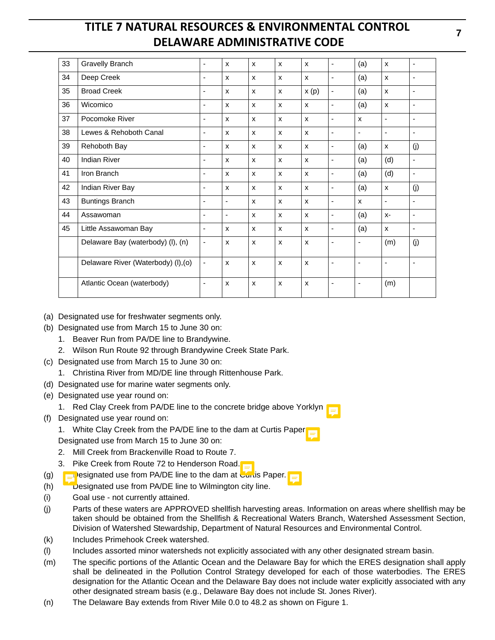| 33 | <b>Gravelly Branch</b>              | ٠                        | X              | X | $\mathsf{x}$ | X    | -  | (a)                      | $\mathsf{x}$              | ä,                       |
|----|-------------------------------------|--------------------------|----------------|---|--------------|------|----|--------------------------|---------------------------|--------------------------|
| 34 | Deep Creek                          | $\overline{a}$           | X              | X | $\mathsf{x}$ | X    | ٠  | (a)                      | $\mathsf{x}$              | ۳                        |
| 35 | <b>Broad Creek</b>                  | $\blacksquare$           | $\mathsf{x}$   | X | $\mathsf{x}$ | x(p) | ٠  | (a)                      | $\mathsf{x}$              | $\blacksquare$           |
| 36 | Wicomico                            | $\overline{a}$           | x              | X | $\mathsf{x}$ | X    | -  | (a)                      | X                         | ۳                        |
| 37 | Pocomoke River                      | ٠                        | X              | X | $\mathsf{x}$ | X    | ٠  | X                        | $\overline{\phantom{a}}$  | $\blacksquare$           |
| 38 | Lewes & Rehoboth Canal              | ä,                       | X              | X | $\mathsf{x}$ | X    | ä, | ä,                       | $\overline{\phantom{a}}$  | $\blacksquare$           |
| 39 | Rehoboth Bay                        | ٠                        | X              | X | $\mathsf{x}$ | X    | -  | (a)                      | X                         | (j)                      |
| 40 | <b>Indian River</b>                 | $\blacksquare$           | X              | X | $\mathsf{x}$ | x    | -  | (a)                      | (d)                       | $\overline{\phantom{a}}$ |
| 41 | Iron Branch                         | ٠                        | X              | X | $\mathsf{x}$ | X    | -  | (a)                      | (d)                       | $\overline{\phantom{a}}$ |
| 42 | Indian River Bay                    | ä,                       | X              | X | $\mathsf{x}$ | x    | -  | (a)                      | X                         | (i)                      |
| 43 | <b>Buntings Branch</b>              | $\blacksquare$           | $\blacksquare$ | X | $\mathsf{x}$ | X    | -  | X                        | $\overline{\phantom{a}}$  | $\overline{\phantom{a}}$ |
| 44 | Assawoman                           |                          | $\blacksquare$ | X | $\mathsf{x}$ | X    | -  | (a)                      | $X-$                      | $\overline{\phantom{a}}$ |
| 45 | Little Assawoman Bay                | $\overline{\phantom{a}}$ | X              | X | $\mathsf{x}$ | X    | -  | (a)                      | $\boldsymbol{\mathsf{x}}$ | $\overline{\phantom{a}}$ |
|    | Delaware Bay (waterbody) (I), (n)   | $\overline{\phantom{0}}$ | X              | X | $\mathsf{x}$ | X    | ٠  | $\blacksquare$           | (m)                       | (i)                      |
|    | Delaware River (Waterbody) (I), (o) | $\blacksquare$           | $\mathsf{x}$   | X | $\mathsf{x}$ | X    | ٠  | $\blacksquare$           | $\overline{\phantom{a}}$  | -                        |
|    | Atlantic Ocean (waterbody)          | ÷,                       | X              | X | $\mathsf{x}$ | X    | ٠  | $\overline{\phantom{0}}$ | (m)                       |                          |

- (a) Designated use for freshwater segments only.
- (b) Designated use from March 15 to June 30 on:
	- 1. Beaver Run from PA/DE line to Brandywine.
	- 2. Wilson Run Route 92 through Brandywine Creek State Park.
- (c) Designated use from March 15 to June 30 on:
	- 1. Christina River from MD/DE line through Rittenhouse Park.
- (d) Designated use for marine water segments only.
- (e) Designated use year round on:
	- 1. Red Clay Creek from PA/DE line to the concrete bridge above Yorklyn
- (f) Designated use year round on:
	- 1. White Clay Creek from the PA/DE line to the dam at Curtis Paper.
	- Designated use from March 15 to June 30 on:
	- 2. Mill Creek from Brackenville Road to Route 7.
	- 3. Pike Creek from Route 72 to Henderson Road.
- (g)  $\Box$ esignated use from PA/DE line to the dam at Curtis Paper.
- (h)  $\Box$  Designated use from PA/DE line to Wilmington city line.
- (i) Goal use not currently attained.
- (j) Parts of these waters are APPROVED shellfish harvesting areas. Information on areas where shellfish may be taken should be obtained from the Shellfish & Recreational Waters Branch, Watershed Assessment Section, Division of Watershed Stewardship, Department of Natural Resources and Environmental Control.
- (k) Includes Primehook Creek watershed.
- (l) Includes assorted minor watersheds not explicitly associated with any other designated stream basin.
- (m) The specific portions of the Atlantic Ocean and the Delaware Bay for which the ERES designation shall apply shall be delineated in the Pollution Control Strategy developed for each of those waterbodies. The ERES designation for the Atlantic Ocean and the Delaware Bay does not include water explicitly associated with any other designated stream basis (e.g., Delaware Bay does not include St. Jones River).
- (n) The Delaware Bay extends from River Mile 0.0 to 48.2 as shown on Figure 1.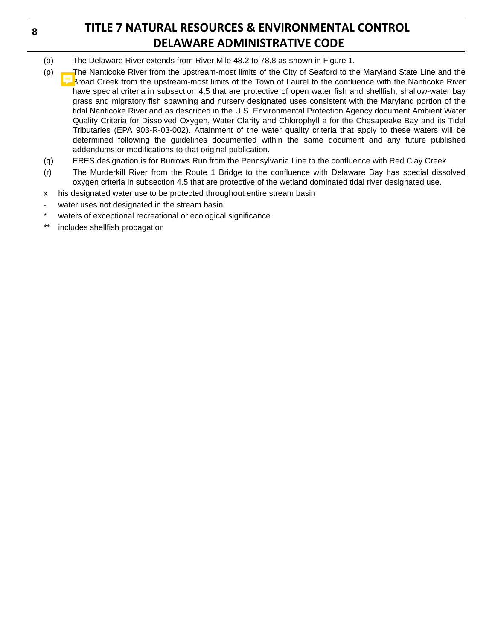# **TITLE 7 NATURAL RESOURCES & ENVIRONMENTAL CONTROL DELAWARE ADMINISTRATIVE CODE**

- (o) The Delaware River extends from River Mile 48.2 to 78.8 as shown in Figure 1.
- (p) The Nanticoke River from the upstream-most limits of the City of Seaford to the Maryland State Line and the Broad Creek from the upstream-most limits of the Town of Laurel to the confluence with the Nanticoke River have special criteria in subsection 4.5 that are protective of open water fish and shellfish, shallow-water bay grass and migratory fish spawning and nursery designated uses consistent with the Maryland portion of the tidal Nanticoke River and as described in the U.S. Environmental Protection Agency document Ambient Water Quality Criteria for Dissolved Oxygen, Water Clarity and Chlorophyll a for the Chesapeake Bay and its Tidal Tributaries (EPA 903-R-03-002). Attainment of the water quality criteria that apply to these waters will be determined following the guidelines documented within the same document and any future published addendums or modifications to that original publication.
- (q) ERES designation is for Burrows Run from the Pennsylvania Line to the confluence with Red Clay Creek
- (r) The Murderkill River from the Route 1 Bridge to the confluence with Delaware Bay has special dissolved oxygen criteria in subsection 4.5 that are protective of the wetland dominated tidal river designated use.
- x his designated water use to be protected throughout entire stream basin
- water uses not designated in the stream basin
- waters of exceptional recreational or ecological significance
- \*\* includes shellfish propagation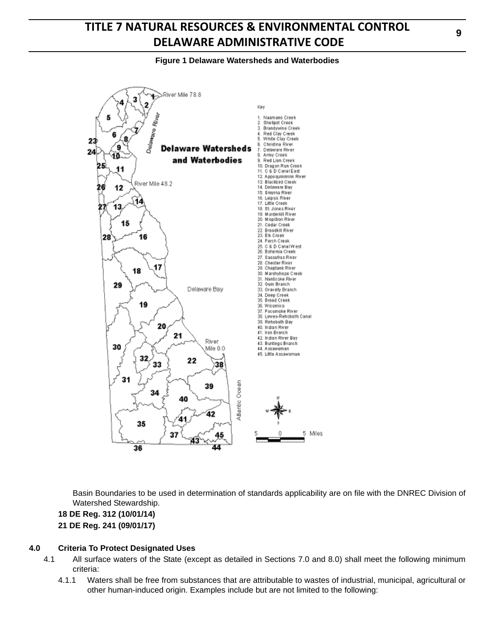### **Figure 1 Delaware Watersheds and Waterbodies**



Basin Boundaries to be used in determination of standards applicability are on file with the DNREC Division of Watershed Stewardship.

**18 DE Reg. 312 (10/01/14) 21 DE Reg. 241 (09/01/17)**

#### **4.0 Criteria To Protect Designated Uses**

- 4.1 All surface waters of the State (except as detailed in Sections 7.0 and 8.0) shall meet the following minimum criteria:
	- 4.1.1 Waters shall be free from substances that are attributable to wastes of industrial, municipal, agricultural or other human-induced origin. Examples include but are not limited to the following: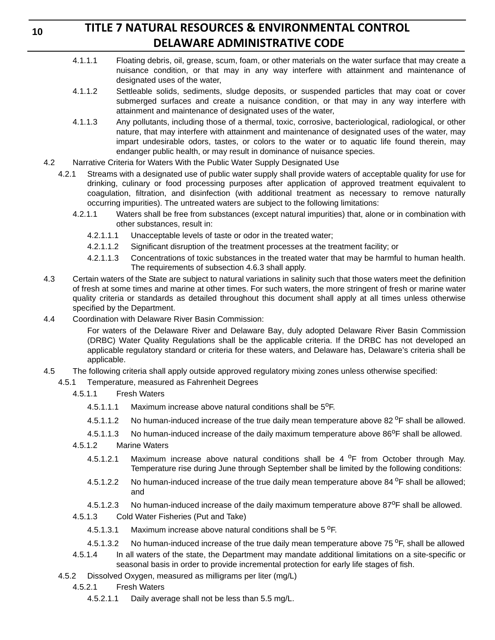# **TITLE 7 NATURAL RESOURCES & ENVIRONMENTAL CONTROL DELAWARE ADMINISTRATIVE CODE**

- 4.1.1.1 Floating debris, oil, grease, scum, foam, or other materials on the water surface that may create a nuisance condition, or that may in any way interfere with attainment and maintenance of designated uses of the water,
- 4.1.1.2 Settleable solids, sediments, sludge deposits, or suspended particles that may coat or cover submerged surfaces and create a nuisance condition, or that may in any way interfere with attainment and maintenance of designated uses of the water,
- 4.1.1.3 Any pollutants, including those of a thermal, toxic, corrosive, bacteriological, radiological, or other nature, that may interfere with attainment and maintenance of designated uses of the water, may impart undesirable odors, tastes, or colors to the water or to aquatic life found therein, may endanger public health, or may result in dominance of nuisance species.
- 4.2 Narrative Criteria for Waters With the Public Water Supply Designated Use
	- 4.2.1 Streams with a designated use of public water supply shall provide waters of acceptable quality for use for drinking, culinary or food processing purposes after application of approved treatment equivalent to coagulation, filtration, and disinfection (with additional treatment as necessary to remove naturally occurring impurities). The untreated waters are subject to the following limitations:
		- 4.2.1.1 Waters shall be free from substances (except natural impurities) that, alone or in combination with other substances, result in:
			- 4.2.1.1.1 Unacceptable levels of taste or odor in the treated water;
			- 4.2.1.1.2 Significant disruption of the treatment processes at the treatment facility; or
			- 4.2.1.1.3 Concentrations of toxic substances in the treated water that may be harmful to human health. The requirements of subsection 4.6.3 shall apply.
- 4.3 Certain waters of the State are subject to natural variations in salinity such that those waters meet the definition of fresh at some times and marine at other times. For such waters, the more stringent of fresh or marine water quality criteria or standards as detailed throughout this document shall apply at all times unless otherwise specified by the Department.
- 4.4 Coordination with Delaware River Basin Commission:

For waters of the Delaware River and Delaware Bay, duly adopted Delaware River Basin Commission (DRBC) Water Quality Regulations shall be the applicable criteria. If the DRBC has not developed an applicable regulatory standard or criteria for these waters, and Delaware has, Delaware's criteria shall be applicable.

- 4.5 The following criteria shall apply outside approved regulatory mixing zones unless otherwise specified:
	- 4.5.1 Temperature, measured as Fahrenheit Degrees
		- 4.5.1.1 Fresh Waters
			- 4.5.1.1.1 Maximum increase above natural conditions shall be  $5^{\circ}$ F.
			- 4.5.1.1.2 No human-induced increase of the true daily mean temperature above 82 °F shall be allowed.
			- 4.5.1.1.3 No human-induced increase of the daily maximum temperature above  $86^{\circ}$ F shall be allowed.
		- 4.5.1.2 Marine Waters
			- 4.5.1.2.1 Maximum increase above natural conditions shall be  $4^{\circ}$ F from October through May. Temperature rise during June through September shall be limited by the following conditions:
			- 4.5.1.2.2 No human-induced increase of the true daily mean temperature above  $84^{\circ}$ F shall be allowed; and
			- 4.5.1.2.3 No human-induced increase of the daily maximum temperature above  $87^{\circ}$ F shall be allowed.
		- 4.5.1.3 Cold Water Fisheries (Put and Take)
			- 4.5.1.3.1 Maximum increase above natural conditions shall be  $5^{\circ}$ F.
			- 4.5.1.3.2 No human-induced increase of the true daily mean temperature above 75  $\degree$ F, shall be allowed
		- 4.5.1.4 In all waters of the state, the Department may mandate additional limitations on a site-specific or seasonal basis in order to provide incremental protection for early life stages of fish.
	- 4.5.2 Dissolved Oxygen, measured as milligrams per liter (mg/L)
		- 4.5.2.1 Fresh Waters
			- 4.5.2.1.1 Daily average shall not be less than 5.5 mg/L.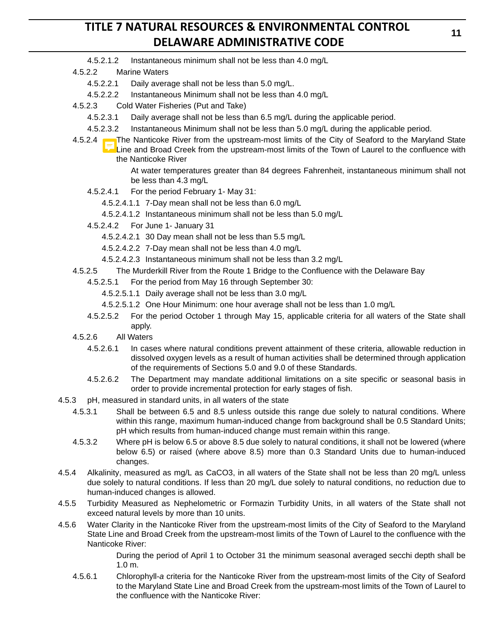- 4.5.2.1.2 Instantaneous minimum shall not be less than 4.0 mg/L
- 4.5.2.2 Marine Waters
	- 4.5.2.2.1 Daily average shall not be less than 5.0 mg/L.
	- 4.5.2.2.2 Instantaneous Minimum shall not be less than 4.0 mg/L
- 4.5.2.3 Cold Water Fisheries (Put and Take)
	- 4.5.2.3.1 Daily average shall not be less than 6.5 mg/L during the applicable period.
	- 4.5.2.3.2 Instantaneous Minimum shall not be less than 5.0 mg/L during the applicable period.
- 4.5.2.4 The Nanticoke River from the upstream-most limits of the City of Seaford to the Maryland State Line and Broad Creek from the upstream-most limits of the Town of Laurel to the confluence with the Nanticoke River

At water temperatures greater than 84 degrees Fahrenheit, instantaneous minimum shall not be less than 4.3 mg/L

- 4.5.2.4.1 For the period February 1- May 31:
	- 4.5.2.4.1.1 7-Day mean shall not be less than 6.0 mg/L
	- 4.5.2.4.1.2 Instantaneous minimum shall not be less than 5.0 mg/L
- 4.5.2.4.2 For June 1- January 31
	- 4.5.2.4.2.1 30 Day mean shall not be less than 5.5 mg/L
	- 4.5.2.4.2.2 7-Day mean shall not be less than 4.0 mg/L
	- 4.5.2.4.2.3 Instantaneous minimum shall not be less than 3.2 mg/L
- 4.5.2.5 The Murderkill River from the Route 1 Bridge to the Confluence with the Delaware Bay
	- 4.5.2.5.1 For the period from May 16 through September 30:
		- 4.5.2.5.1.1 Daily average shall not be less than 3.0 mg/L
		- 4.5.2.5.1.2 One Hour Minimum: one hour average shall not be less than 1.0 mg/L
	- 4.5.2.5.2 For the period October 1 through May 15, applicable criteria for all waters of the State shall apply.
- 4.5.2.6 All Waters
	- 4.5.2.6.1 In cases where natural conditions prevent attainment of these criteria, allowable reduction in dissolved oxygen levels as a result of human activities shall be determined through application of the requirements of Sections 5.0 and 9.0 of these Standards.
	- 4.5.2.6.2 The Department may mandate additional limitations on a site specific or seasonal basis in order to provide incremental protection for early stages of fish.
- 4.5.3 pH, measured in standard units, in all waters of the state
	- 4.5.3.1 Shall be between 6.5 and 8.5 unless outside this range due solely to natural conditions. Where within this range, maximum human-induced change from background shall be 0.5 Standard Units; pH which results from human-induced change must remain within this range.
	- 4.5.3.2 Where pH is below 6.5 or above 8.5 due solely to natural conditions, it shall not be lowered (where below 6.5) or raised (where above 8.5) more than 0.3 Standard Units due to human-induced changes.
- 4.5.4 Alkalinity, measured as mg/L as CaCO3, in all waters of the State shall not be less than 20 mg/L unless due solely to natural conditions. If less than 20 mg/L due solely to natural conditions, no reduction due to human-induced changes is allowed.
- 4.5.5 Turbidity Measured as Nephelometric or Formazin Turbidity Units, in all waters of the State shall not exceed natural levels by more than 10 units.
- 4.5.6 Water Clarity in the Nanticoke River from the upstream-most limits of the City of Seaford to the Maryland State Line and Broad Creek from the upstream-most limits of the Town of Laurel to the confluence with the Nanticoke River:

During the period of April 1 to October 31 the minimum seasonal averaged secchi depth shall be 1.0 m.

4.5.6.1 Chlorophyll-*a* criteria for the Nanticoke River from the upstream-most limits of the City of Seaford to the Maryland State Line and Broad Creek from the upstream-most limits of the Town of Laurel to the confluence with the Nanticoke River: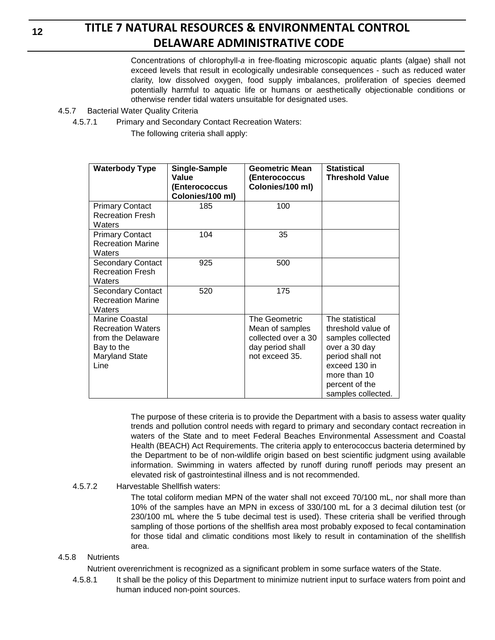Concentrations of chlorophyll-*a* in free-floating microscopic aquatic plants (algae) shall not exceed levels that result in ecologically undesirable consequences - such as reduced water clarity, low dissolved oxygen, food supply imbalances, proliferation of species deemed potentially harmful to aquatic life or humans or aesthetically objectionable conditions or otherwise render tidal waters unsuitable for designated uses.

- 4.5.7 Bacterial Water Quality Criteria
	- 4.5.7.1 Primary and Secondary Contact Recreation Waters:
		- The following criteria shall apply:

| <b>Waterbody Type</b>                                                                                   | Single-Sample<br>Value<br>(Enterococcus<br>Colonies/100 ml) | <b>Geometric Mean</b><br>(Enterococcus<br>Colonies/100 ml)                                    | <b>Statistical</b><br><b>Threshold Value</b>                                                                                                                             |
|---------------------------------------------------------------------------------------------------------|-------------------------------------------------------------|-----------------------------------------------------------------------------------------------|--------------------------------------------------------------------------------------------------------------------------------------------------------------------------|
| <b>Primary Contact</b><br><b>Recreation Fresh</b><br>Waters                                             | 185                                                         | 100                                                                                           |                                                                                                                                                                          |
| <b>Primary Contact</b><br><b>Recreation Marine</b><br>Waters                                            | 104                                                         | 35                                                                                            |                                                                                                                                                                          |
| <b>Secondary Contact</b><br><b>Recreation Fresh</b><br>Waters                                           | 925                                                         | 500                                                                                           |                                                                                                                                                                          |
| <b>Secondary Contact</b><br><b>Recreation Marine</b><br>Waters                                          | 520                                                         | 175                                                                                           |                                                                                                                                                                          |
| Marine Coastal<br><b>Recreation Waters</b><br>from the Delaware<br>Bay to the<br>Maryland State<br>Line |                                                             | The Geometric<br>Mean of samples<br>collected over a 30<br>day period shall<br>not exceed 35. | The statistical<br>threshold value of<br>samples collected<br>over a 30 day<br>period shall not<br>exceed 130 in<br>more than 10<br>percent of the<br>samples collected. |

The purpose of these criteria is to provide the Department with a basis to assess water quality trends and pollution control needs with regard to primary and secondary contact recreation in waters of the State and to meet Federal Beaches Environmental Assessment and Coastal Health (BEACH) Act Requirements. The criteria apply to enterococcus bacteria determined by the Department to be of non-wildlife origin based on best scientific judgment using available information. Swimming in waters affected by runoff during runoff periods may present an elevated risk of gastrointestinal illness and is not recommended.

### 4.5.7.2 Harvestable Shellfish waters:

The total coliform median MPN of the water shall not exceed 70/100 mL, nor shall more than 10% of the samples have an MPN in excess of 330/100 mL for a 3 decimal dilution test (or 230/100 mL where the 5 tube decimal test is used). These criteria shall be verified through sampling of those portions of the shellfish area most probably exposed to fecal contamination for those tidal and climatic conditions most likely to result in contamination of the shellfish area.

### 4.5.8 Nutrients

Nutrient overenrichment is recognized as a significant problem in some surface waters of the State.

4.5.8.1 It shall be the policy of this Department to minimize nutrient input to surface waters from point and human induced non-point sources.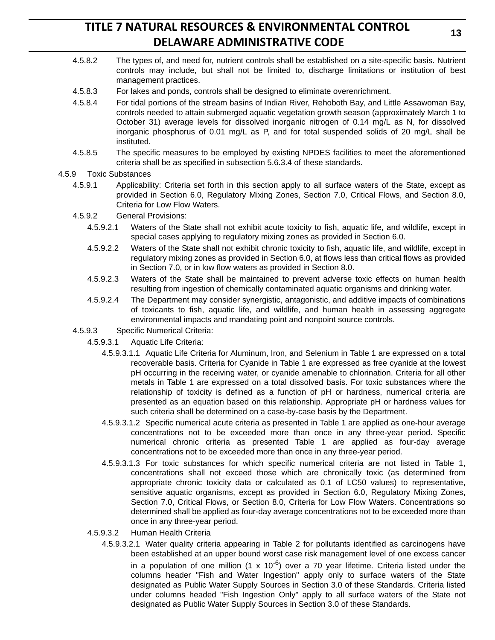- 4.5.8.2 The types of, and need for, nutrient controls shall be established on a site-specific basis. Nutrient controls may include, but shall not be limited to, discharge limitations or institution of best management practices.
- 4.5.8.3 For lakes and ponds, controls shall be designed to eliminate overenrichment.
- 4.5.8.4 For tidal portions of the stream basins of Indian River, Rehoboth Bay, and Little Assawoman Bay, controls needed to attain submerged aquatic vegetation growth season (approximately March 1 to October 31) average levels for dissolved inorganic nitrogen of 0.14 mg/L as N, for dissolved inorganic phosphorus of 0.01 mg/L as P, and for total suspended solids of 20 mg/L shall be instituted.
- 4.5.8.5 The specific measures to be employed by existing NPDES facilities to meet the aforementioned criteria shall be as specified in subsection 5.6.3.4 of these standards.

#### 4.5.9 Toxic Substances

- 4.5.9.1 Applicability: Criteria set forth in this section apply to all surface waters of the State, except as provided in Section 6.0, Regulatory Mixing Zones, Section 7.0, Critical Flows, and Section 8.0, Criteria for Low Flow Waters.
- 4.5.9.2 General Provisions:
	- 4.5.9.2.1 Waters of the State shall not exhibit acute toxicity to fish, aquatic life, and wildlife, except in special cases applying to regulatory mixing zones as provided in Section 6.0.
	- 4.5.9.2.2 Waters of the State shall not exhibit chronic toxicity to fish, aquatic life, and wildlife, except in regulatory mixing zones as provided in Section 6.0, at flows less than critical flows as provided in Section 7.0, or in low flow waters as provided in Section 8.0.
	- 4.5.9.2.3 Waters of the State shall be maintained to prevent adverse toxic effects on human health resulting from ingestion of chemically contaminated aquatic organisms and drinking water.
	- 4.5.9.2.4 The Department may consider synergistic, antagonistic, and additive impacts of combinations of toxicants to fish, aquatic life, and wildlife, and human health in assessing aggregate environmental impacts and mandating point and nonpoint source controls.
- 4.5.9.3 Specific Numerical Criteria:
	- 4.5.9.3.1 Aquatic Life Criteria:
		- 4.5.9.3.1.1 Aquatic Life Criteria for Aluminum, Iron, and Selenium in Table 1 are expressed on a total recoverable basis. Criteria for Cyanide in Table 1 are expressed as free cyanide at the lowest pH occurring in the receiving water, or cyanide amenable to chlorination. Criteria for all other metals in Table 1 are expressed on a total dissolved basis. For toxic substances where the relationship of toxicity is defined as a function of pH or hardness, numerical criteria are presented as an equation based on this relationship. Appropriate pH or hardness values for such criteria shall be determined on a case-by-case basis by the Department.
		- 4.5.9.3.1.2 Specific numerical acute criteria as presented in Table 1 are applied as one-hour average concentrations not to be exceeded more than once in any three-year period. Specific numerical chronic criteria as presented Table 1 are applied as four-day average concentrations not to be exceeded more than once in any three-year period.
		- 4.5.9.3.1.3 For toxic substances for which specific numerical criteria are not listed in Table 1, concentrations shall not exceed those which are chronically toxic (as determined from appropriate chronic toxicity data or calculated as 0.1 of LC50 values) to representative, sensitive aquatic organisms, except as provided in Section 6.0, Regulatory Mixing Zones, Section 7.0, Critical Flows, or Section 8.0, Criteria for Low Flow Waters. Concentrations so determined shall be applied as four-day average concentrations not to be exceeded more than once in any three-year period.
	- 4.5.9.3.2 Human Health Criteria
		- 4.5.9.3.2.1 Water quality criteria appearing in Table 2 for pollutants identified as carcinogens have been established at an upper bound worst case risk management level of one excess cancer

in a population of one million  $(1 \times 10^{-6})$  over a 70 year lifetime. Criteria listed under the columns header "Fish and Water Ingestion" apply only to surface waters of the State designated as Public Water Supply Sources in Section 3.0 of these Standards. Criteria listed under columns headed "Fish Ingestion Only" apply to all surface waters of the State not designated as Public Water Supply Sources in Section 3.0 of these Standards.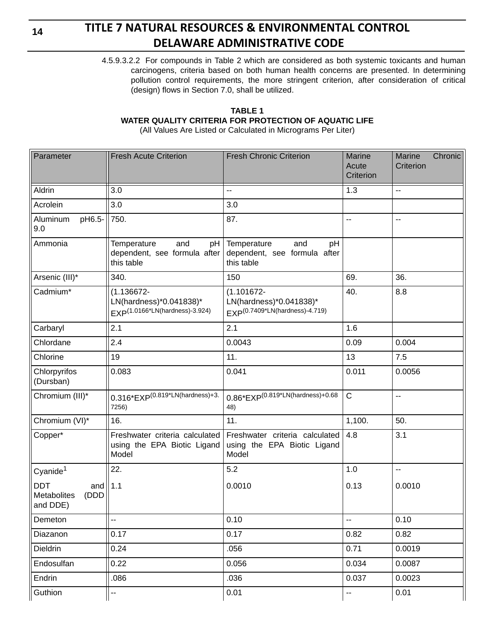# **TITLE 7 NATURAL RESOURCES & ENVIRONMENTAL CONTROL DELAWARE ADMINISTRATIVE CODE**

4.5.9.3.2.2 For compounds in Table 2 which are considered as both systemic toxicants and human carcinogens, criteria based on both human health concerns are presented. In determining pollution control requirements, the more stringent criterion, after consideration of critical (design) flows in Section 7.0, shall be utilized.

### **TABLE 1 WATER QUALITY CRITERIA FOR PROTECTION OF AQUATIC LIFE**

(All Values Are Listed or Calculated in Micrograms Per Liter)

| Parameter                                                   | <b>Fresh Acute Criterion</b>                                                           | <b>Fresh Chronic Criterion</b>                                                         | Marine<br>Acute<br>Criterion | Chronic<br>Marine<br>Criterion |
|-------------------------------------------------------------|----------------------------------------------------------------------------------------|----------------------------------------------------------------------------------------|------------------------------|--------------------------------|
| Aldrin                                                      | 3.0                                                                                    | u.                                                                                     | 1.3                          | $\mathbb{L}^2$                 |
| Acrolein                                                    | 3.0                                                                                    | 3.0                                                                                    |                              |                                |
| Aluminum<br>pH6.5-<br>9.0                                   | 750.                                                                                   | 87.                                                                                    | $\overline{\phantom{a}}$     | $\overline{a}$                 |
| Ammonia                                                     | Temperature<br>and<br>pH<br>dependent, see formula after<br>this table                 | Temperature<br>and<br>pH<br>dependent, see formula after<br>this table                 |                              |                                |
| Arsenic (III)*                                              | 340.                                                                                   | 150                                                                                    | 69.                          | 36.                            |
| Cadmium*                                                    | $(1.136672 -$<br>LN(hardness)*0.041838)*<br>EXP <sup>(1.0166*LN(hardness)-3.924)</sup> | $(1.101672 -$<br>LN(hardness)*0.041838)*<br>EXP <sup>(0.7409*LN(hardness)-4.719)</sup> | 40.                          | 8.8                            |
| Carbaryl                                                    | 2.1                                                                                    | 2.1                                                                                    | 1.6                          |                                |
| Chlordane                                                   | 2.4                                                                                    | 0.0043                                                                                 | 0.09                         | 0.004                          |
| Chlorine                                                    | 19                                                                                     | 11.                                                                                    | 13                           | 7.5                            |
| Chlorpyrifos<br>(Dursban)                                   | 0.083                                                                                  | 0.041                                                                                  | 0.011                        | 0.0056                         |
| Chromium (III)*                                             | $0.316*EXP^{(0.819*LN(hardness)+3.)}$<br>7256)                                         | $0.86*$ EXP $(0.819*$ LN $(hardness)+0.68$<br>48)                                      | $\mathsf{C}$                 | $\overline{a}$                 |
| Chromium (VI)*                                              | 16.                                                                                    | 11.                                                                                    | 1,100.                       | 50.                            |
| Copper*                                                     | Freshwater criteria calculated<br>using the EPA Biotic Ligand<br>Model                 | Freshwater criteria calculated<br>using the EPA Biotic Ligand<br>Model                 | 4.8                          | 3.1                            |
| Cyanide <sup>1</sup>                                        | 22.                                                                                    | 5.2                                                                                    | 1.0                          | цú.                            |
| <b>DDT</b><br>and $ 1.1$<br>(DDD<br>Metabolites<br>and DDE) |                                                                                        | 0.0010                                                                                 | 0.13                         | 0.0010                         |
| Demeton                                                     | --                                                                                     | 0.10                                                                                   | --                           | 0.10                           |
| Diazanon                                                    | 0.17                                                                                   | 0.17                                                                                   | 0.82                         | 0.82                           |
| Dieldrin                                                    | 0.24                                                                                   | .056                                                                                   | 0.71                         | 0.0019                         |
| Endosulfan                                                  | 0.22                                                                                   | 0.056                                                                                  | 0.034                        | 0.0087                         |
| Endrin                                                      | .086                                                                                   | .036                                                                                   | 0.037                        | 0.0023                         |
| Guthion                                                     | --                                                                                     | 0.01                                                                                   | ۰.                           | 0.01                           |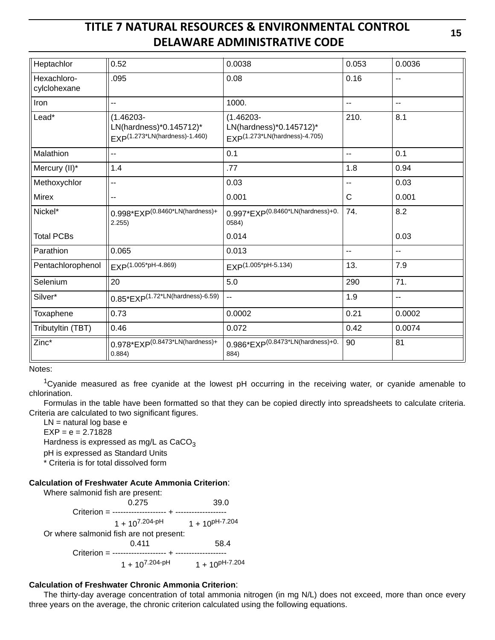| Heptachlor                  | 0.52                                                                                 | 0.0038                                                                               | 0.053          | 0.0036 |
|-----------------------------|--------------------------------------------------------------------------------------|--------------------------------------------------------------------------------------|----------------|--------|
| Hexachloro-<br>cylclohexane | .095                                                                                 | 0.08                                                                                 | 0.16           | --     |
| Iron                        | --                                                                                   | 1000.                                                                                | $\overline{a}$ | --     |
| Lead*                       | $(1.46203 -$<br>LN(hardness)*0.145712)*<br>EXP <sup>(1.273*LN(hardness)-1.460)</sup> | $(1.46203 -$<br>LN(hardness)*0.145712)*<br>EXP <sup>(1.273*LN(hardness)-4.705)</sup> | 210.           | 8.1    |
| Malathion                   | --                                                                                   | 0.1                                                                                  | $-1$           | 0.1    |
| Mercury (II)*               | 1.4                                                                                  | .77                                                                                  | 1.8            | 0.94   |
| Methoxychlor                | --                                                                                   | 0.03                                                                                 |                | 0.03   |
| Mirex                       |                                                                                      | 0.001                                                                                | C              | 0.001  |
| Nickel*                     | $0.998*EXP(0.8460*LN(hardness)+$<br>2.255)                                           | $0.997*$ EXP $(0.8460*$ LN $(hardness)+0.$<br>0584)                                  | 74.            | 8.2    |
| <b>Total PCBs</b>           |                                                                                      | 0.014                                                                                |                | 0.03   |
| Parathion                   | 0.065                                                                                | 0.013                                                                                | $\overline{a}$ | 44     |
| Pentachlorophenol           | EXP(1.005*pH-4.869)                                                                  | EXP(1.005*pH-5.134)                                                                  | 13.            | 7.9    |
| Selenium                    | 20                                                                                   | 5.0                                                                                  | 290            | 71.    |
| Silver*                     | $0.85*EXP(1.72*LN(hardness)-6.59)$                                                   | u.                                                                                   | 1.9            | Ξ.     |
| Toxaphene                   | 0.73                                                                                 | 0.0002                                                                               | 0.21           | 0.0002 |
| Tributyltin (TBT)           | 0.46                                                                                 | 0.072                                                                                | 0.42           | 0.0074 |
| Zinc*                       | $0.978*$ EXP $(0.8473*$ LN(hardness)+<br>0.884)                                      | $0.986*$ EXP $^{(0.8473*)}$ LN(hardness)+0.<br>884)                                  | 90             | 81     |

Notes:

<sup>1</sup>Cyanide measured as free cyanide at the lowest pH occurring in the receiving water, or cyanide amenable to chlorination.

Formulas in the table have been formatted so that they can be copied directly into spreadsheets to calculate criteria. Criteria are calculated to two significant figures.

LN = natural log base e  $EXP = e = 2.71828$ Hardness is expressed as mg/L as  $CaCO<sub>3</sub>$ pH is expressed as Standard Units

.<br>\* Criteria is for total dissolved form

#### **Calculation of Freshwater Acute Ammonia Criterion**:

Where salmonid fish are present: 0.275 39.0 Criterion = -------------------- + -------------------  $1 + 10^{7.204-pH}$   $1 + 10^{pH-7.204}$ Or where salmonid fish are not present: 0.411 58.4 Criterion = -------------------- + -------------------  $1 + 10^{7.204-pH}$   $1 + 10^{pH-7.204}$ 

#### **Calculation of Freshwater Chronic Ammonia Criterion**:

The thirty-day average concentration of total ammonia nitrogen (in mg N/L) does not exceed, more than once every three years on the average, the chronic criterion calculated using the following equations.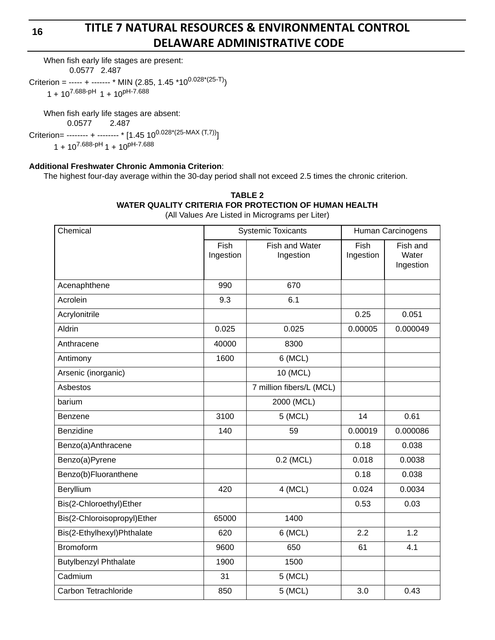## **TITLE 7 NATURAL RESOURCES & ENVIRONMENTAL CONTROL DELAWARE ADMINISTRATIVE CODE**

When fish early life stages are present: 0.0577 2.487

Criterion = ----- + ------- \* MIN (2.85, 1.45 \*10<sup>0.028\*</sup>(25-T))  $1 + 10^{7.688-pH}$  1 + 10<sup>pH-7.688</sup>

When fish early life stages are absent: 0.0577 2.487

Criterion= -------- + -------- \* [1.45  $10^{0.028*(25\text{-MAX (T,7)})}$ ]  $1 + 10^{7.688-pH}1 + 10^{pH-7.688}$ 

### **Additional Freshwater Chronic Ammonia Criterion**:

The highest four-day average within the 30-day period shall not exceed 2.5 times the chronic criterion.

| TABLE 2                                               |  |  |  |  |  |  |
|-------------------------------------------------------|--|--|--|--|--|--|
| WATER QUALITY CRITERIA FOR PROTECTION OF HUMAN HEALTH |  |  |  |  |  |  |
| (All Values Are Listed in Micrograms per Liter)       |  |  |  |  |  |  |

(All Values Are Listed in Micrograms per Liter)

| Chemical                     | <b>Systemic Toxicants</b> |                             | Human Carcinogens |                                |  |
|------------------------------|---------------------------|-----------------------------|-------------------|--------------------------------|--|
|                              | Fish<br>Ingestion         | Fish and Water<br>Ingestion | Fish<br>Ingestion | Fish and<br>Water<br>Ingestion |  |
| Acenaphthene                 | 990                       | 670                         |                   |                                |  |
| Acrolein                     | 9.3                       | 6.1                         |                   |                                |  |
| Acrylonitrile                |                           |                             | 0.25              | 0.051                          |  |
| Aldrin                       | 0.025                     | 0.025                       | 0.00005           | 0.000049                       |  |
| Anthracene                   | 40000                     | 8300                        |                   |                                |  |
| Antimony                     | 1600                      | 6 (MCL)                     |                   |                                |  |
| Arsenic (inorganic)          |                           | 10 (MCL)                    |                   |                                |  |
| Asbestos                     |                           | 7 million fibers/L (MCL)    |                   |                                |  |
| barium                       |                           | 2000 (MCL)                  |                   |                                |  |
| Benzene                      | 3100                      | 5 (MCL)                     | 14                | 0.61                           |  |
| Benzidine                    | 140                       | 59                          | 0.00019           | 0.000086                       |  |
| Benzo(a)Anthracene           |                           |                             | 0.18              | 0.038                          |  |
| Benzo(a)Pyrene               |                           | $0.2$ (MCL)                 | 0.018             | 0.0038                         |  |
| Benzo(b)Fluoranthene         |                           |                             | 0.18              | 0.038                          |  |
| Beryllium                    | 420                       | 4 (MCL)                     | 0.024             | 0.0034                         |  |
| Bis(2-Chloroethyl)Ether      |                           |                             | 0.53              | 0.03                           |  |
| Bis(2-Chloroisopropyl)Ether  | 65000                     | 1400                        |                   |                                |  |
| Bis(2-Ethylhexyl)Phthalate   | 620                       | 6 (MCL)                     | 2.2               | 1.2                            |  |
| <b>Bromoform</b>             | 9600                      | 650                         | 61                | 4.1                            |  |
| <b>Butylbenzyl Phthalate</b> | 1900                      | 1500                        |                   |                                |  |
| Cadmium                      | 31                        | 5 (MCL)                     |                   |                                |  |
| Carbon Tetrachloride         | 850                       | 5 (MCL)                     | 3.0               | 0.43                           |  |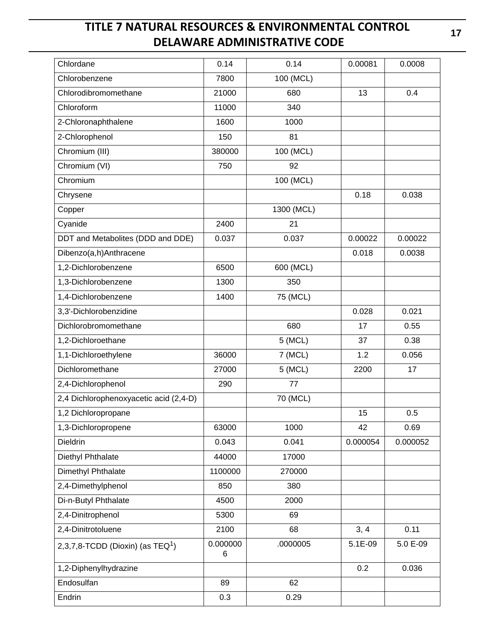| Chlordane                              | 0.14          | 0.14       | 0.00081  | 0.0008   |
|----------------------------------------|---------------|------------|----------|----------|
| Chlorobenzene                          | 7800          | 100 (MCL)  |          |          |
| Chlorodibromomethane                   | 21000         | 680        | 13       | 0.4      |
| Chloroform                             | 11000         | 340        |          |          |
| 2-Chloronaphthalene                    | 1600          | 1000       |          |          |
| 2-Chlorophenol                         | 150           | 81         |          |          |
| Chromium (III)                         | 380000        | 100 (MCL)  |          |          |
| Chromium (VI)                          | 750           | 92         |          |          |
| Chromium                               |               | 100 (MCL)  |          |          |
| Chrysene                               |               |            | 0.18     | 0.038    |
| Copper                                 |               | 1300 (MCL) |          |          |
| Cyanide                                | 2400          | 21         |          |          |
| DDT and Metabolites (DDD and DDE)      | 0.037         | 0.037      | 0.00022  | 0.00022  |
| Dibenzo(a,h)Anthracene                 |               |            | 0.018    | 0.0038   |
| 1,2-Dichlorobenzene                    | 6500          | 600 (MCL)  |          |          |
| 1,3-Dichlorobenzene                    | 1300          | 350        |          |          |
| 1,4-Dichlorobenzene                    | 1400          | 75 (MCL)   |          |          |
| 3,3'-Dichlorobenzidine                 |               |            | 0.028    | 0.021    |
| Dichlorobromomethane                   |               | 680        | 17       | 0.55     |
| 1,2-Dichloroethane                     |               | 5 (MCL)    | 37       | 0.38     |
| 1,1-Dichloroethylene                   | 36000         | 7 (MCL)    | 1.2      | 0.056    |
| Dichloromethane                        | 27000         | 5 (MCL)    | 2200     | 17       |
| 2,4-Dichlorophenol                     | 290           | 77         |          |          |
| 2,4 Dichlorophenoxyacetic acid (2,4-D) |               | 70 (MCL)   |          |          |
| 1,2 Dichloropropane                    |               |            | 15       | 0.5      |
| 1,3-Dichloropropene                    | 63000         | 1000       | 42       | 0.69     |
| Dieldrin                               | 0.043         | 0.041      | 0.000054 | 0.000052 |
| Diethyl Phthalate                      | 44000         | 17000      |          |          |
| Dimethyl Phthalate                     | 1100000       | 270000     |          |          |
| 2,4-Dimethylphenol                     | 850           | 380        |          |          |
| Di-n-Butyl Phthalate                   | 4500          | 2000       |          |          |
| 2,4-Dinitrophenol                      | 5300          | 69         |          |          |
| 2,4-Dinitrotoluene                     | 2100          | 68         | 3, 4     | 0.11     |
| 2,3,7,8-TCDD (Dioxin) (as $TEQ1$ )     | 0.000000<br>6 | .0000005   | 5.1E-09  | 5.0 E-09 |
| 1,2-Diphenylhydrazine                  |               |            | 0.2      | 0.036    |
| Endosulfan                             | 89            | 62         |          |          |
| Endrin                                 | 0.3           | 0.29       |          |          |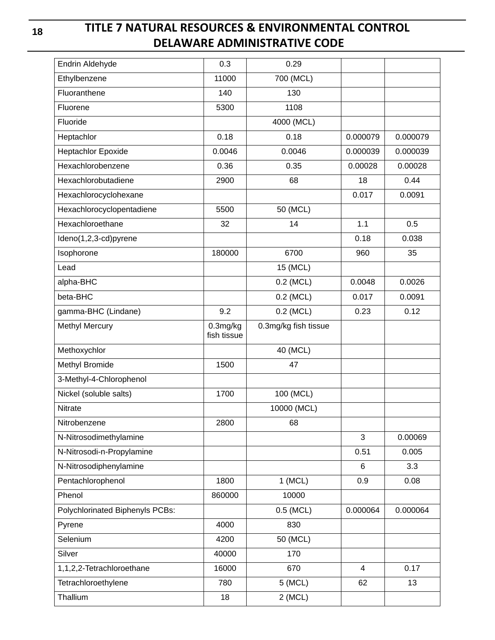# **TITLE 7 NATURAL RESOURCES & ENVIRONMENTAL CONTROL DELAWARE ADMINISTRATIVE CODE**

| Endrin Aldehyde                 | 0.3                     | 0.29                 |          |          |
|---------------------------------|-------------------------|----------------------|----------|----------|
| Ethylbenzene                    | 11000                   | 700 (MCL)            |          |          |
| Fluoranthene                    | 140                     | 130                  |          |          |
| Fluorene                        | 5300                    | 1108                 |          |          |
| Fluoride                        |                         | 4000 (MCL)           |          |          |
| Heptachlor                      | 0.18                    | 0.18                 | 0.000079 | 0.000079 |
| <b>Heptachlor Epoxide</b>       | 0.0046                  | 0.0046               | 0.000039 | 0.000039 |
| Hexachlorobenzene               | 0.36                    | 0.35                 | 0.00028  | 0.00028  |
| Hexachlorobutadiene             | 2900                    | 68                   | 18       | 0.44     |
| Hexachlorocyclohexane           |                         |                      | 0.017    | 0.0091   |
| Hexachlorocyclopentadiene       | 5500                    | 50 (MCL)             |          |          |
| Hexachloroethane                | 32                      | 14                   | 1.1      | 0.5      |
| Ideno(1,2,3-cd)pyrene           |                         |                      | 0.18     | 0.038    |
| Isophorone                      | 180000                  | 6700                 | 960      | 35       |
| Lead                            |                         | 15 (MCL)             |          |          |
| alpha-BHC                       |                         | 0.2 (MCL)            | 0.0048   | 0.0026   |
| beta-BHC                        |                         | 0.2 (MCL)            | 0.017    | 0.0091   |
| gamma-BHC (Lindane)             | 9.2                     | 0.2 (MCL)            | 0.23     | 0.12     |
| <b>Methyl Mercury</b>           | 0.3mg/kg<br>fish tissue | 0.3mg/kg fish tissue |          |          |
| Methoxychlor                    |                         | 40 (MCL)             |          |          |
| Methyl Bromide                  | 1500                    | 47                   |          |          |
| 3-Methyl-4-Chlorophenol         |                         |                      |          |          |
| Nickel (soluble salts)          | 1700                    | 100 (MCL)            |          |          |
| Nitrate                         |                         | 10000 (MCL)          |          |          |
| Nitrobenzene                    | 2800                    | 68                   |          |          |
| N-Nitrosodimethylamine          |                         |                      | 3        | 0.00069  |
| N-Nitrosodi-n-Propylamine       |                         |                      | 0.51     | 0.005    |
| N-Nitrosodiphenylamine          |                         |                      | 6        | 3.3      |
| Pentachlorophenol               | 1800                    | $1$ (MCL)            | 0.9      | 0.08     |
| Phenol                          | 860000                  | 10000                |          |          |
| Polychlorinated Biphenyls PCBs: |                         | 0.5 (MCL)            | 0.000064 | 0.000064 |
| Pyrene                          | 4000                    | 830                  |          |          |
| Selenium                        | 4200                    | 50 (MCL)             |          |          |
| Silver                          | 40000                   | 170                  |          |          |
| 1,1,2,2-Tetrachloroethane       | 16000                   | 670                  | 4        | 0.17     |
| Tetrachloroethylene             | 780                     | 5 (MCL)              | 62       | 13       |
| Thallium                        | 18                      | $2$ (MCL)            |          |          |
|                                 |                         |                      |          |          |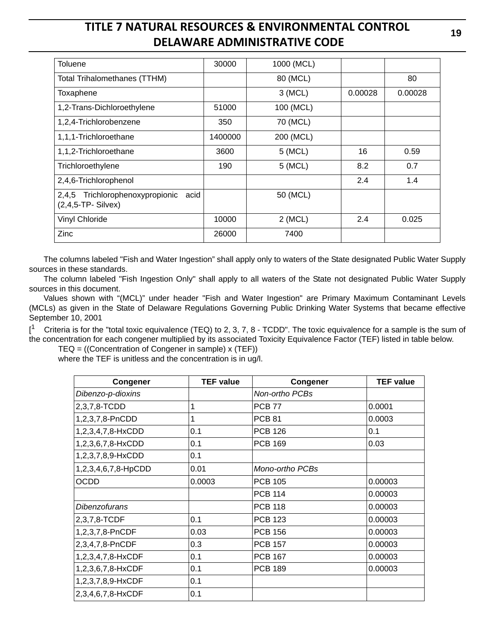| <b>Toluene</b>                                                  | 30000   | 1000 (MCL) |         |         |
|-----------------------------------------------------------------|---------|------------|---------|---------|
| <b>Total Trihalomethanes (TTHM)</b>                             |         | 80 (MCL)   |         | 80      |
| Toxaphene                                                       |         | 3 (MCL)    | 0.00028 | 0.00028 |
| 1,2-Trans-Dichloroethylene                                      | 51000   | 100 (MCL)  |         |         |
| 1,2,4-Trichlorobenzene                                          | 350     | 70 (MCL)   |         |         |
| 1,1,1-Trichloroethane                                           | 1400000 | 200 (MCL)  |         |         |
| 1,1,2-Trichloroethane                                           | 3600    | 5 (MCL)    | 16      | 0.59    |
| Trichloroethylene                                               | 190     | 5 (MCL)    | 8.2     | 0.7     |
| 2,4,6-Trichlorophenol                                           |         |            | 2.4     | 1.4     |
| 2,4,5 Trichlorophenoxypropionic<br>acid<br>$(2,4,5$ -TP-Silvex) |         | 50 (MCL)   |         |         |
| <b>Vinyl Chloride</b>                                           | 10000   | $2$ (MCL)  | 2.4     | 0.025   |
| Zinc                                                            | 26000   | 7400       |         |         |

The columns labeled "Fish and Water Ingestion" shall apply only to waters of the State designated Public Water Supply sources in these standards.

The column labeled "Fish Ingestion Only" shall apply to all waters of the State not designated Public Water Supply sources in this document.

Values shown with "(MCL)" under header "Fish and Water Ingestion" are Primary Maximum Contaminant Levels (MCLs) as given in the State of Delaware Regulations Governing Public Drinking Water Systems that became effective September 10, 2001

 $\mathsf{I}^1$ Criteria is for the "total toxic equivalence (TEQ) to 2, 3, 7, 8 - TCDD". The toxic equivalence for a sample is the sum of the concentration for each congener multiplied by its associated Toxicity Equivalence Factor (TEF) listed in table below.

TEQ = ((Concentration of Congener in sample) x (TEF))

where the TEF is unitless and the concentration is in ug/l.

| Congener            | <b>TEF value</b> | Congener        | <b>TEF value</b> |
|---------------------|------------------|-----------------|------------------|
| Dibenzo-p-dioxins   |                  | Non-ortho PCBs  |                  |
| 2,3,7,8-TCDD        |                  | <b>PCB 77</b>   | 0.0001           |
| 1,2,3,7,8-PnCDD     |                  | <b>PCB 81</b>   | 0.0003           |
| 1,2,3,4,7,8-HxCDD   | 0.1              | <b>PCB 126</b>  | 0.1              |
| 1,2,3,6,7,8-HxCDD   | 0.1              | <b>PCB 169</b>  | 0.03             |
| 1,2,3,7,8,9-HxCDD   | 0.1              |                 |                  |
| 1,2,3,4,6,7,8-HpCDD | 0.01             | Mono-ortho PCBs |                  |
| <b>OCDD</b>         | 0.0003           | <b>PCB 105</b>  | 0.00003          |
|                     |                  | <b>PCB 114</b>  | 0.00003          |
| Dibenzofurans       |                  | <b>PCB 118</b>  | 0.00003          |
| 2,3,7,8-TCDF        | 0.1              | <b>PCB 123</b>  | 0.00003          |
| 1,2,3,7,8-PnCDF     | 0.03             | <b>PCB 156</b>  | 0.00003          |
| 2,3,4,7,8-PnCDF     | 0.3              | <b>PCB 157</b>  | 0.00003          |
| 1,2,3,4,7,8-HxCDF   | 0.1              | <b>PCB 167</b>  | 0.00003          |
| 1,2,3,6,7,8-HxCDF   | 0.1              | <b>PCB 189</b>  | 0.00003          |
| 1,2,3,7,8,9-HxCDF   | 0.1              |                 |                  |
| 2,3,4,6,7,8-HxCDF   | 0.1              |                 |                  |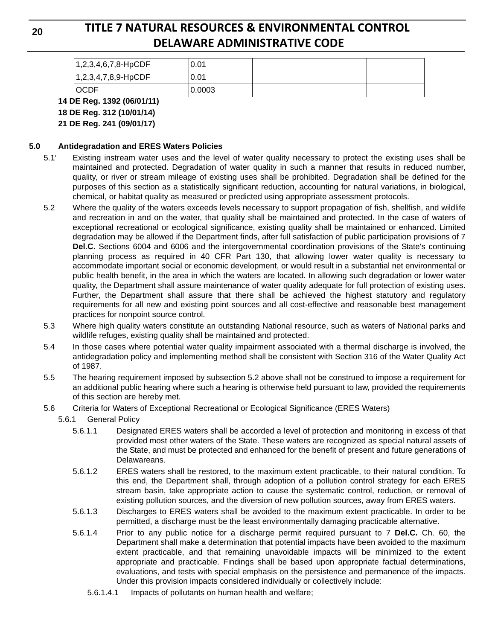# **TITLE 7 NATURAL RESOURCES & ENVIRONMENTAL CONTROL DELAWARE ADMINISTRATIVE CODE**

| 1,2,3,4,6,7,8-HpCDF | 0.01   |  |
|---------------------|--------|--|
| 1,2,3,4,7,8,9-HpCDF | 0.01   |  |
| <b>OCDF</b>         | 0.0003 |  |

### **14 DE Reg. 1392 (06/01/11)**

**18 DE Reg. 312 (10/01/14)**

**21 DE Reg. 241 (09/01/17)**

### **5.0 Antidegradation and ERES Waters Policies**

- 5.1' Existing instream water uses and the level of water quality necessary to protect the existing uses shall be maintained and protected. Degradation of water quality in such a manner that results in reduced number, quality, or river or stream mileage of existing uses shall be prohibited. Degradation shall be defined for the purposes of this section as a statistically significant reduction, accounting for natural variations, in biological, chemical, or habitat quality as measured or predicted using appropriate assessment protocols.
- 5.2 Where the quality of the waters exceeds levels necessary to support propagation of fish, shellfish, and wildlife and recreation in and on the water, that quality shall be maintained and protected. In the case of waters of exceptional recreational or ecological significance, existing quality shall be maintained or enhanced. Limited degradation may be allowed if the Department finds, after full satisfaction of public participation provisions of 7 **Del.C.** Sections 6004 and 6006 and the intergovernmental coordination provisions of the State's continuing planning process as required in 40 CFR Part 130, that allowing lower water quality is necessary to accommodate important social or economic development, or would result in a substantial net environmental or public health benefit, in the area in which the waters are located. In allowing such degradation or lower water quality, the Department shall assure maintenance of water quality adequate for full protection of existing uses. Further, the Department shall assure that there shall be achieved the highest statutory and regulatory requirements for all new and existing point sources and all cost-effective and reasonable best management practices for nonpoint source control.
- 5.3 Where high quality waters constitute an outstanding National resource, such as waters of National parks and wildlife refuges, existing quality shall be maintained and protected.
- 5.4 In those cases where potential water quality impairment associated with a thermal discharge is involved, the antidegradation policy and implementing method shall be consistent with Section 316 of the Water Quality Act of 1987.
- 5.5 The hearing requirement imposed by subsection 5.2 above shall not be construed to impose a requirement for an additional public hearing where such a hearing is otherwise held pursuant to law, provided the requirements of this section are hereby met.
- 5.6 Criteria for Waters of Exceptional Recreational or Ecological Significance (ERES Waters)
	- 5.6.1 General Policy
		- 5.6.1.1 Designated ERES waters shall be accorded a level of protection and monitoring in excess of that provided most other waters of the State. These waters are recognized as special natural assets of the State, and must be protected and enhanced for the benefit of present and future generations of Delawareans.
		- 5.6.1.2 ERES waters shall be restored, to the maximum extent practicable, to their natural condition. To this end, the Department shall, through adoption of a pollution control strategy for each ERES stream basin, take appropriate action to cause the systematic control, reduction, or removal of existing pollution sources, and the diversion of new pollution sources, away from ERES waters.
		- 5.6.1.3 Discharges to ERES waters shall be avoided to the maximum extent practicable. In order to be permitted, a discharge must be the least environmentally damaging practicable alternative.
		- 5.6.1.4 Prior to any public notice for a discharge permit required pursuant to 7 **Del.C.** Ch. 60, the Department shall make a determination that potential impacts have been avoided to the maximum extent practicable, and that remaining unavoidable impacts will be minimized to the extent appropriate and practicable. Findings shall be based upon appropriate factual determinations, evaluations, and tests with special emphasis on the persistence and permanence of the impacts. Under this provision impacts considered individually or collectively include:
			- 5.6.1.4.1 Impacts of pollutants on human health and welfare;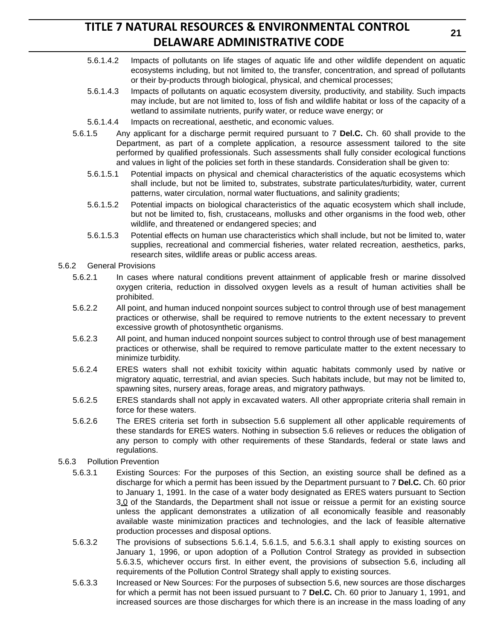- 5.6.1.4.2 Impacts of pollutants on life stages of aquatic life and other wildlife dependent on aquatic ecosystems including, but not limited to, the transfer, concentration, and spread of pollutants or their by-products through biological, physical, and chemical processes;
- 5.6.1.4.3 Impacts of pollutants on aquatic ecosystem diversity, productivity, and stability. Such impacts may include, but are not limited to, loss of fish and wildlife habitat or loss of the capacity of a wetland to assimilate nutrients, purify water, or reduce wave energy; or
- 5.6.1.4.4 Impacts on recreational, aesthetic, and economic values.
- 5.6.1.5 Any applicant for a discharge permit required pursuant to 7 **Del.C.** Ch. 60 shall provide to the Department, as part of a complete application, a resource assessment tailored to the site performed by qualified professionals. Such assessments shall fully consider ecological functions and values in light of the policies set forth in these standards. Consideration shall be given to:
	- 5.6.1.5.1 Potential impacts on physical and chemical characteristics of the aquatic ecosystems which shall include, but not be limited to, substrates, substrate particulates/turbidity, water, current patterns, water circulation, normal water fluctuations, and salinity gradients;
	- 5.6.1.5.2 Potential impacts on biological characteristics of the aquatic ecosystem which shall include, but not be limited to, fish, crustaceans, mollusks and other organisms in the food web, other wildlife, and threatened or endangered species; and
	- 5.6.1.5.3 Potential effects on human use characteristics which shall include, but not be limited to, water supplies, recreational and commercial fisheries, water related recreation, aesthetics, parks, research sites, wildlife areas or public access areas.
- 5.6.2 General Provisions
	- 5.6.2.1 In cases where natural conditions prevent attainment of applicable fresh or marine dissolved oxygen criteria, reduction in dissolved oxygen levels as a result of human activities shall be prohibited.
	- 5.6.2.2 All point, and human induced nonpoint sources subject to control through use of best management practices or otherwise, shall be required to remove nutrients to the extent necessary to prevent excessive growth of photosynthetic organisms.
	- 5.6.2.3 All point, and human induced nonpoint sources subject to control through use of best management practices or otherwise, shall be required to remove particulate matter to the extent necessary to minimize turbidity.
	- 5.6.2.4 ERES waters shall not exhibit toxicity within aquatic habitats commonly used by native or migratory aquatic, terrestrial, and avian species. Such habitats include, but may not be limited to, spawning sites, nursery areas, forage areas, and migratory pathways.
	- 5.6.2.5 ERES standards shall not apply in excavated waters. All other appropriate criteria shall remain in force for these waters.
	- 5.6.2.6 The ERES criteria set forth in subsection 5.6 supplement all other applicable requirements of these standards for ERES waters. Nothing in subsection 5.6 relieves or reduces the obligation of any person to comply with other requirements of these Standards, federal or state laws and regulations.
- 5.6.3 Pollution Prevention
	- 5.6.3.1 Existing Sources: For the purposes of this Section, an existing source shall be defined as a discharge for which a permit has been issued by the Department pursuant to 7 **Del.C.** Ch. 60 prior to January 1, 1991. In the case of a water body designated as ERES waters pursuant to Section 3.0 of the Standards, the Department shall not issue or reissue a permit for an existing source unless the applicant demonstrates a utilization of all economically feasible and reasonably available waste minimization practices and technologies, and the lack of feasible alternative production processes and disposal options.
	- 5.6.3.2 The provisions of subsections 5.6.1.4, 5.6.1.5, and 5.6.3.1 shall apply to existing sources on January 1, 1996, or upon adoption of a Pollution Control Strategy as provided in subsection 5.6.3.5, whichever occurs first. In either event, the provisions of subsection 5.6, including all requirements of the Pollution Control Strategy shall apply to existing sources.
	- 5.6.3.3 Increased or New Sources: For the purposes of subsection 5.6, new sources are those discharges for which a permit has not been issued pursuant to 7 **Del.C.** Ch. 60 prior to January 1, 1991, and increased sources are those discharges for which there is an increase in the mass loading of any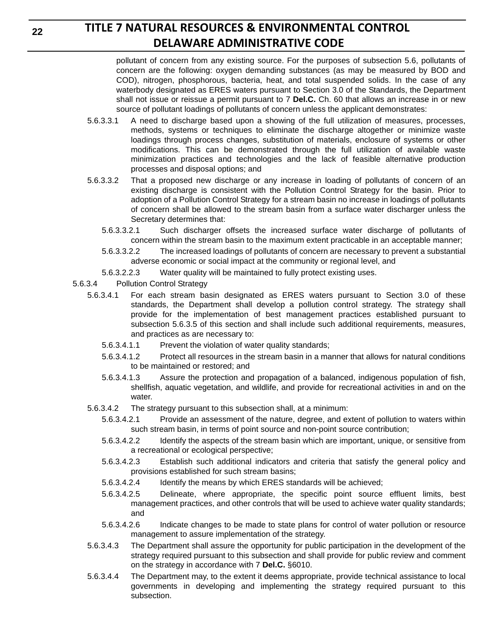pollutant of concern from any existing source. For the purposes of subsection 5.6, pollutants of concern are the following: oxygen demanding substances (as may be measured by BOD and COD), nitrogen, phosphorous, bacteria, heat, and total suspended solids. In the case of any waterbody designated as ERES waters pursuant to Section 3.0 of the Standards, the Department shall not issue or reissue a permit pursuant to 7 **Del.C.** Ch. 60 that allows an increase in or new source of pollutant loadings of pollutants of concern unless the applicant demonstrates:

- 5.6.3.3.1 A need to discharge based upon a showing of the full utilization of measures, processes, methods, systems or techniques to eliminate the discharge altogether or minimize waste loadings through process changes, substitution of materials, enclosure of systems or other modifications. This can be demonstrated through the full utilization of available waste minimization practices and technologies and the lack of feasible alternative production processes and disposal options; and
- 5.6.3.3.2 That a proposed new discharge or any increase in loading of pollutants of concern of an existing discharge is consistent with the Pollution Control Strategy for the basin. Prior to adoption of a Pollution Control Strategy for a stream basin no increase in loadings of pollutants of concern shall be allowed to the stream basin from a surface water discharger unless the Secretary determines that:
	- 5.6.3.3.2.1 Such discharger offsets the increased surface water discharge of pollutants of concern within the stream basin to the maximum extent practicable in an acceptable manner;
	- 5.6.3.3.2.2 The increased loadings of pollutants of concern are necessary to prevent a substantial adverse economic or social impact at the community or regional level, and
	- 5.6.3.2.2.3 Water quality will be maintained to fully protect existing uses.
- 5.6.3.4 Pollution Control Strategy
	- 5.6.3.4.1 For each stream basin designated as ERES waters pursuant to Section 3.0 of these standards, the Department shall develop a pollution control strategy. The strategy shall provide for the implementation of best management practices established pursuant to subsection 5.6.3.5 of this section and shall include such additional requirements, measures, and practices as are necessary to:
		- 5.6.3.4.1.1 Prevent the violation of water quality standards;
		- 5.6.3.4.1.2 Protect all resources in the stream basin in a manner that allows for natural conditions to be maintained or restored; and
		- 5.6.3.4.1.3 Assure the protection and propagation of a balanced, indigenous population of fish, shellfish, aquatic vegetation, and wildlife, and provide for recreational activities in and on the water.
	- 5.6.3.4.2 The strategy pursuant to this subsection shall, at a minimum:
		- 5.6.3.4.2.1 Provide an assessment of the nature, degree, and extent of pollution to waters within such stream basin, in terms of point source and non-point source contribution;
		- 5.6.3.4.2.2 Identify the aspects of the stream basin which are important, unique, or sensitive from a recreational or ecological perspective;
		- 5.6.3.4.2.3 Establish such additional indicators and criteria that satisfy the general policy and provisions established for such stream basins;
		- 5.6.3.4.2.4 Identify the means by which ERES standards will be achieved;
		- 5.6.3.4.2.5 Delineate, where appropriate, the specific point source effluent limits, best management practices, and other controls that will be used to achieve water quality standards; and
		- 5.6.3.4.2.6 Indicate changes to be made to state plans for control of water pollution or resource management to assure implementation of the strategy.
	- 5.6.3.4.3 The Department shall assure the opportunity for public participation in the development of the strategy required pursuant to this subsection and shall provide for public review and comment on the strategy in accordance with 7 **Del.C.** §6010.
	- 5.6.3.4.4 The Department may, to the extent it deems appropriate, provide technical assistance to local governments in developing and implementing the strategy required pursuant to this subsection.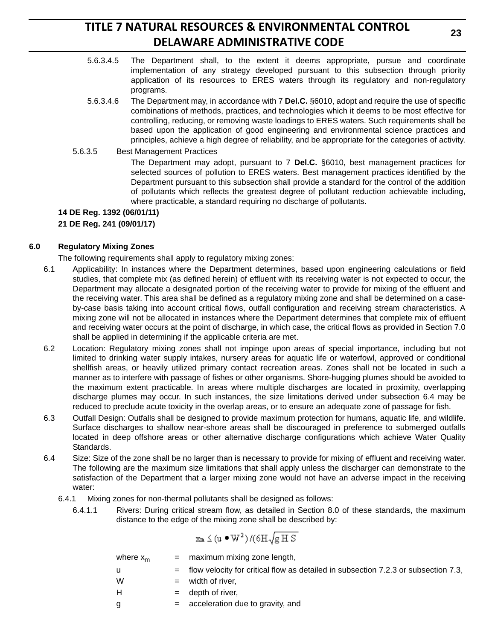- 5.6.3.4.5 The Department shall, to the extent it deems appropriate, pursue and coordinate implementation of any strategy developed pursuant to this subsection through priority application of its resources to ERES waters through its regulatory and non-regulatory programs.
- 5.6.3.4.6 The Department may, in accordance with 7 **Del.C.** §6010, adopt and require the use of specific combinations of methods, practices, and technologies which it deems to be most effective for controlling, reducing, or removing waste loadings to ERES waters. Such requirements shall be based upon the application of good engineering and environmental science practices and principles, achieve a high degree of reliability, and be appropriate for the categories of activity.
- 5.6.3.5 Best Management Practices

The Department may adopt, pursuant to 7 **Del.C.** §6010, best management practices for selected sources of pollution to ERES waters. Best management practices identified by the Department pursuant to this subsection shall provide a standard for the control of the addition of pollutants which reflects the greatest degree of pollutant reduction achievable including, where practicable, a standard requiring no discharge of pollutants.

**14 DE Reg. 1392 (06/01/11)**

**21 DE Reg. 241 (09/01/17)**

### **6.0 Regulatory Mixing Zones**

The following requirements shall apply to regulatory mixing zones:

- 6.1 Applicability: In instances where the Department determines, based upon engineering calculations or field studies, that complete mix (as defined herein) of effluent with its receiving water is not expected to occur, the Department may allocate a designated portion of the receiving water to provide for mixing of the effluent and the receiving water. This area shall be defined as a regulatory mixing zone and shall be determined on a caseby-case basis taking into account critical flows, outfall configuration and receiving stream characteristics. A mixing zone will not be allocated in instances where the Department determines that complete mix of effluent and receiving water occurs at the point of discharge, in which case, the critical flows as provided in Section 7.0 shall be applied in determining if the applicable criteria are met.
- 6.2 Location: Regulatory mixing zones shall not impinge upon areas of special importance, including but not limited to drinking water supply intakes, nursery areas for aquatic life or waterfowl, approved or conditional shellfish areas, or heavily utilized primary contact recreation areas. Zones shall not be located in such a manner as to interfere with passage of fishes or other organisms. Shore-hugging plumes should be avoided to the maximum extent practicable. In areas where multiple discharges are located in proximity, overlapping discharge plumes may occur. In such instances, the size limitations derived under subsection 6.4 may be reduced to preclude acute toxicity in the overlap areas, or to ensure an adequate zone of passage for fish.
- 6.3 Outfall Design: Outfalls shall be designed to provide maximum protection for humans, aquatic life, and wildlife. Surface discharges to shallow near-shore areas shall be discouraged in preference to submerged outfalls located in deep offshore areas or other alternative discharge configurations which achieve Water Quality Standards.
- 6.4 Size: Size of the zone shall be no larger than is necessary to provide for mixing of effluent and receiving water. The following are the maximum size limitations that shall apply unless the discharger can demonstrate to the satisfaction of the Department that a larger mixing zone would not have an adverse impact in the receiving water:
	- 6.4.1 Mixing zones for non-thermal pollutants shall be designed as follows:
		- 6.4.1.1 Rivers: During critical stream flow, as detailed in Section 8.0 of these standards, the maximum distance to the edge of the mixing zone shall be described by:

$$
x_{m} \leq (u \bullet W^{2}) / (6H\sqrt{g \boxplus S})
$$

| where $x_m$ | $=$ maximum mixing zone length,                                                        |
|-------------|----------------------------------------------------------------------------------------|
| - u         | $=$ flow velocity for critical flow as detailed in subsection 7.2.3 or subsection 7.3, |
| W           | $=$ width of river,                                                                    |
| H           | $=$ depth of river,                                                                    |
| g           | $=$ acceleration due to gravity, and                                                   |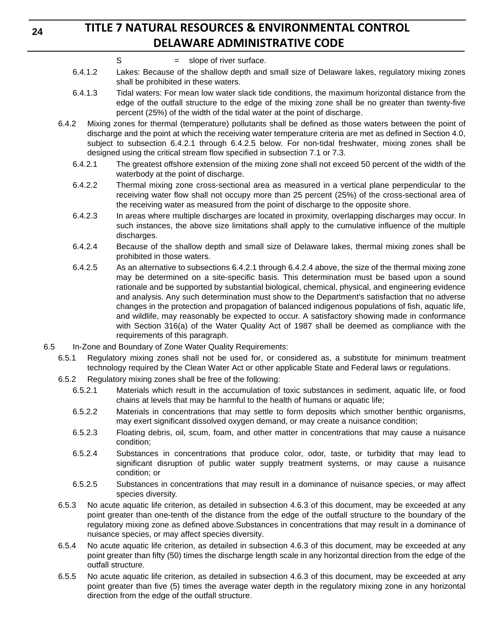- $S = slope of river surface.$
- 6.4.1.2 Lakes: Because of the shallow depth and small size of Delaware lakes, regulatory mixing zones shall be prohibited in these waters.
- 6.4.1.3 Tidal waters: For mean low water slack tide conditions, the maximum horizontal distance from the edge of the outfall structure to the edge of the mixing zone shall be no greater than twenty-five percent (25%) of the width of the tidal water at the point of discharge.
- 6.4.2 Mixing zones for thermal (temperature) pollutants shall be defined as those waters between the point of discharge and the point at which the receiving water temperature criteria are met as defined in Section 4.0, subject to subsection 6.4.2.1 through 6.4.2.5 below. For non-tidal freshwater, mixing zones shall be designed using the critical stream flow specified in subsection 7.1 or 7.3.
	- 6.4.2.1 The greatest offshore extension of the mixing zone shall not exceed 50 percent of the width of the waterbody at the point of discharge.
	- 6.4.2.2 Thermal mixing zone cross-sectional area as measured in a vertical plane perpendicular to the receiving water flow shall not occupy more than 25 percent (25%) of the cross-sectional area of the receiving water as measured from the point of discharge to the opposite shore.
	- 6.4.2.3 In areas where multiple discharges are located in proximity, overlapping discharges may occur. In such instances, the above size limitations shall apply to the cumulative influence of the multiple discharges.
	- 6.4.2.4 Because of the shallow depth and small size of Delaware lakes, thermal mixing zones shall be prohibited in those waters.
	- 6.4.2.5 As an alternative to subsections 6.4.2.1 through 6.4.2.4 above, the size of the thermal mixing zone may be determined on a site-specific basis. This determination must be based upon a sound rationale and be supported by substantial biological, chemical, physical, and engineering evidence and analysis. Any such determination must show to the Department's satisfaction that no adverse changes in the protection and propagation of balanced indigenous populations of fish, aquatic life, and wildlife, may reasonably be expected to occur. A satisfactory showing made in conformance with Section 316(a) of the Water Quality Act of 1987 shall be deemed as compliance with the requirements of this paragraph.
- 6.5 In-Zone and Boundary of Zone Water Quality Requirements:
	- 6.5.1 Regulatory mixing zones shall not be used for, or considered as, a substitute for minimum treatment technology required by the Clean Water Act or other applicable State and Federal laws or regulations.
	- 6.5.2 Regulatory mixing zones shall be free of the following:
		- 6.5.2.1 Materials which result in the accumulation of toxic substances in sediment, aquatic life, or food chains at levels that may be harmful to the health of humans or aquatic life;
		- 6.5.2.2 Materials in concentrations that may settle to form deposits which smother benthic organisms, may exert significant dissolved oxygen demand, or may create a nuisance condition;
		- 6.5.2.3 Floating debris, oil, scum, foam, and other matter in concentrations that may cause a nuisance condition;
		- 6.5.2.4 Substances in concentrations that produce color, odor, taste, or turbidity that may lead to significant disruption of public water supply treatment systems, or may cause a nuisance condition; or
		- 6.5.2.5 Substances in concentrations that may result in a dominance of nuisance species, or may affect species diversity.
	- 6.5.3 No acute aquatic life criterion, as detailed in subsection 4.6.3 of this document, may be exceeded at any point greater than one-tenth of the distance from the edge of the outfall structure to the boundary of the regulatory mixing zone as defined above.Substances in concentrations that may result in a dominance of nuisance species, or may affect species diversity.
	- 6.5.4 No acute aquatic life criterion, as detailed in subsection 4.6.3 of this document, may be exceeded at any point greater than fifty (50) times the discharge length scale in any horizontal direction from the edge of the outfall structure.
	- 6.5.5 No acute aquatic life criterion, as detailed in subsection 4.6.3 of this document, may be exceeded at any point greater than five (5) times the average water depth in the regulatory mixing zone in any horizontal direction from the edge of the outfall structure.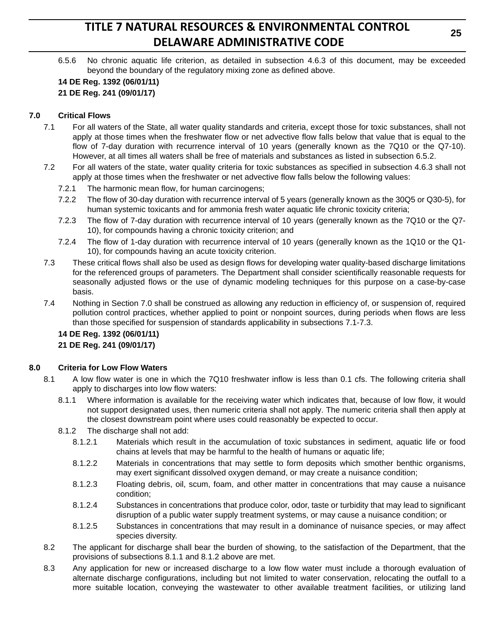6.5.6 No chronic aquatic life criterion, as detailed in subsection 4.6.3 of this document, may be exceeded beyond the boundary of the regulatory mixing zone as defined above.

### **14 DE Reg. 1392 (06/01/11) 21 DE Reg. 241 (09/01/17)**

### **7.0 Critical Flows**

- 7.1 For all waters of the State, all water quality standards and criteria, except those for toxic substances, shall not apply at those times when the freshwater flow or net advective flow falls below that value that is equal to the flow of 7-day duration with recurrence interval of 10 years (generally known as the 7Q10 or the Q7-10). However, at all times all waters shall be free of materials and substances as listed in subsection 6.5.2.
- 7.2 For all waters of the state, water quality criteria for toxic substances as specified in subsection 4.6.3 shall not apply at those times when the freshwater or net advective flow falls below the following values:
	- 7.2.1 The harmonic mean flow, for human carcinogens;
	- 7.2.2 The flow of 30-day duration with recurrence interval of 5 years (generally known as the 30Q5 or Q30-5), for human systemic toxicants and for ammonia fresh water aquatic life chronic toxicity criteria;
	- 7.2.3 The flow of 7-day duration with recurrence interval of 10 years (generally known as the 7Q10 or the Q7- 10), for compounds having a chronic toxicity criterion; and
	- 7.2.4 The flow of 1-day duration with recurrence interval of 10 years (generally known as the 1Q10 or the Q1- 10), for compounds having an acute toxicity criterion.
- 7.3 These critical flows shall also be used as design flows for developing water quality-based discharge limitations for the referenced groups of parameters. The Department shall consider scientifically reasonable requests for seasonally adjusted flows or the use of dynamic modeling techniques for this purpose on a case-by-case basis.
- 7.4 Nothing in Section 7.0 shall be construed as allowing any reduction in efficiency of, or suspension of, required pollution control practices, whether applied to point or nonpoint sources, during periods when flows are less than those specified for suspension of standards applicability in subsections 7.1-7.3.

### **14 DE Reg. 1392 (06/01/11) 21 DE Reg. 241 (09/01/17)**

### **8.0 Criteria for Low Flow Waters**

- 8.1 A low flow water is one in which the 7Q10 freshwater inflow is less than 0.1 cfs. The following criteria shall apply to discharges into low flow waters:
	- 8.1.1 Where information is available for the receiving water which indicates that, because of low flow, it would not support designated uses, then numeric criteria shall not apply. The numeric criteria shall then apply at the closest downstream point where uses could reasonably be expected to occur.
	- 8.1.2 The discharge shall not add:
		- 8.1.2.1 Materials which result in the accumulation of toxic substances in sediment, aquatic life or food chains at levels that may be harmful to the health of humans or aquatic life;
		- 8.1.2.2 Materials in concentrations that may settle to form deposits which smother benthic organisms, may exert significant dissolved oxygen demand, or may create a nuisance condition;
		- 8.1.2.3 Floating debris, oil, scum, foam, and other matter in concentrations that may cause a nuisance condition;
		- 8.1.2.4 Substances in concentrations that produce color, odor, taste or turbidity that may lead to significant disruption of a public water supply treatment systems, or may cause a nuisance condition; or
		- 8.1.2.5 Substances in concentrations that may result in a dominance of nuisance species, or may affect species diversity.
- 8.2 The applicant for discharge shall bear the burden of showing, to the satisfaction of the Department, that the provisions of subsections 8.1.1 and 8.1.2 above are met.
- 8.3 Any application for new or increased discharge to a low flow water must include a thorough evaluation of alternate discharge configurations, including but not limited to water conservation, relocating the outfall to a more suitable location, conveying the wastewater to other available treatment facilities, or utilizing land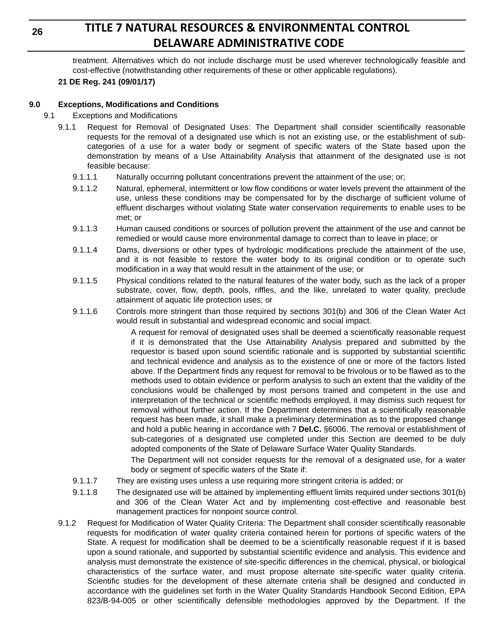treatment. Alternatives which do not include discharge must be used wherever technologically feasible and cost-effective (notwithstanding other requirements of these or other applicable regulations).

### **21 DE Reg. 241 (09/01/17)**

### **9.0 Exceptions, Modifications and Conditions**

- 9.1 Exceptions and Modifications
	- 9.1.1 Request for Removal of Designated Uses: The Department shall consider scientifically reasonable requests for the removal of a designated use which is not an existing use, or the establishment of subcategories of a use for a water body or segment of specific waters of the State based upon the demonstration by means of a Use Attainability Analysis that attainment of the designated use is not feasible because:
		- 9.1.1.1 Naturally occurring pollutant concentrations prevent the attainment of the use; or;
		- 9.1.1.2 Natural, ephemeral, intermittent or low flow conditions or water levels prevent the attainment of the use, unless these conditions may be compensated for by the discharge of sufficient volume of effluent discharges without violating State water conservation requirements to enable uses to be met; or
		- 9.1.1.3 Human caused conditions or sources of pollution prevent the attainment of the use and cannot be remedied or would cause more environmental damage to correct than to leave in place; or
		- 9.1.1.4 Dams, diversions or other types of hydrologic modifications preclude the attainment of the use, and it is not feasible to restore the water body to its original condition or to operate such modification in a way that would result in the attainment of the use; or
		- 9.1.1.5 Physical conditions related to the natural features of the water body, such as the lack of a proper substrate, cover, flow, depth, pools, riffles, and the like, unrelated to water quality, preclude attainment of aquatic life protection uses; or
		- 9.1.1.6 Controls more stringent than those required by sections 301(b) and 306 of the Clean Water Act would result in substantial and widespread economic and social impact.

A request for removal of designated uses shall be deemed a scientifically reasonable request if it is demonstrated that the Use Attainability Analysis prepared and submitted by the requestor is based upon sound scientific rationale and is supported by substantial scientific and technical evidence and analysis as to the existence of one or more of the factors listed above. If the Department finds any request for removal to be frivolous or to be flawed as to the methods used to obtain evidence or perform analysis to such an extent that the validity of the conclusions would be challenged by most persons trained and competent in the use and interpretation of the technical or scientific methods employed, it may dismiss such request for removal without further action. If the Department determines that a scientifically reasonable request has been made, it shall make a preliminary determination as to the proposed change and hold a public hearing in accordance with 7 **Del.C.** §6006. The removal or establishment of sub-categories of a designated use completed under this Section are deemed to be duly adopted components of the State of Delaware Surface Water Quality Standards.

The Department will not consider requests for the removal of a designated use, for a water body or segment of specific waters of the State if:

- 9.1.1.7 They are existing uses unless a use requiring more stringent criteria is added; or
- 9.1.1.8 The designated use will be attained by implementing effluent limits required under sections 301(b) and 306 of the Clean Water Act and by implementing cost-effective and reasonable best management practices for nonpoint source control.
- 9.1.2 Request for Modification of Water Quality Criteria: The Department shall consider scientifically reasonable requests for modification of water quality criteria contained herein for portions of specific waters of the State. A request for modification shall be deemed to be a scientifically reasonable request if it is based upon a sound rationale, and supported by substantial scientific evidence and analysis. This evidence and analysis must demonstrate the existence of site-specific differences in the chemical, physical, or biological characteristics of the surface water, and must propose alternate site-specific water quality criteria. Scientific studies for the development of these alternate criteria shall be designed and conducted in accordance with the guidelines set forth in the Water Quality Standards Handbook Second Edition, EPA 823/B-94-005 or other scientifically defensible methodologies approved by the Department. If the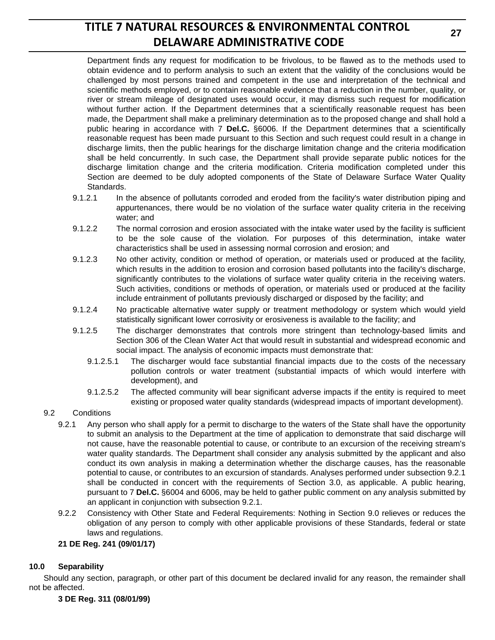Department finds any request for modification to be frivolous, to be flawed as to the methods used to obtain evidence and to perform analysis to such an extent that the validity of the conclusions would be challenged by most persons trained and competent in the use and interpretation of the technical and scientific methods employed, or to contain reasonable evidence that a reduction in the number, quality, or river or stream mileage of designated uses would occur, it may dismiss such request for modification without further action. If the Department determines that a scientifically reasonable request has been made, the Department shall make a preliminary determination as to the proposed change and shall hold a public hearing in accordance with 7 **Del.C.** §6006. If the Department determines that a scientifically reasonable request has been made pursuant to this Section and such request could result in a change in discharge limits, then the public hearings for the discharge limitation change and the criteria modification shall be held concurrently. In such case, the Department shall provide separate public notices for the discharge limitation change and the criteria modification. Criteria modification completed under this Section are deemed to be duly adopted components of the State of Delaware Surface Water Quality Standards.

- 9.1.2.1 In the absence of pollutants corroded and eroded from the facility's water distribution piping and appurtenances, there would be no violation of the surface water quality criteria in the receiving water; and
- 9.1.2.2 The normal corrosion and erosion associated with the intake water used by the facility is sufficient to be the sole cause of the violation. For purposes of this determination, intake water characteristics shall be used in assessing normal corrosion and erosion; and
- 9.1.2.3 No other activity, condition or method of operation, or materials used or produced at the facility, which results in the addition to erosion and corrosion based pollutants into the facility's discharge, significantly contributes to the violations of surface water quality criteria in the receiving waters. Such activities, conditions or methods of operation, or materials used or produced at the facility include entrainment of pollutants previously discharged or disposed by the facility; and
- 9.1.2.4 No practicable alternative water supply or treatment methodology or system which would yield statistically significant lower corrosivity or erosiveness is available to the facility; and
- 9.1.2.5 The discharger demonstrates that controls more stringent than technology-based limits and Section 306 of the Clean Water Act that would result in substantial and widespread economic and social impact. The analysis of economic impacts must demonstrate that:
	- 9.1.2.5.1 The discharger would face substantial financial impacts due to the costs of the necessary pollution controls or water treatment (substantial impacts of which would interfere with development), and
	- 9.1.2.5.2 The affected community will bear significant adverse impacts if the entity is required to meet existing or proposed water quality standards (widespread impacts of important development).

### 9.2 Conditions

- 9.2.1 Any person who shall apply for a permit to discharge to the waters of the State shall have the opportunity to submit an analysis to the Department at the time of application to demonstrate that said discharge will not cause, have the reasonable potential to cause, or contribute to an excursion of the receiving stream's water quality standards. The Department shall consider any analysis submitted by the applicant and also conduct its own analysis in making a determination whether the discharge causes, has the reasonable potential to cause, or contributes to an excursion of standards. Analyses performed under subsection 9.2.1 shall be conducted in concert with the requirements of Section 3.0, as applicable. A public hearing, pursuant to 7 **Del.C.** §6004 and 6006, may be held to gather public comment on any analysis submitted by an applicant in conjunction with subsection 9.2.1.
- 9.2.2 Consistency with Other State and Federal Requirements: Nothing in Section 9.0 relieves or reduces the obligation of any person to comply with other applicable provisions of these Standards, federal or state laws and regulations.

### **21 DE Reg. 241 (09/01/17)**

### **10.0 Separability**

Should any section, paragraph, or other part of this document be declared invalid for any reason, the remainder shall not be affected.

**3 DE Reg. 311 (08/01/99)**